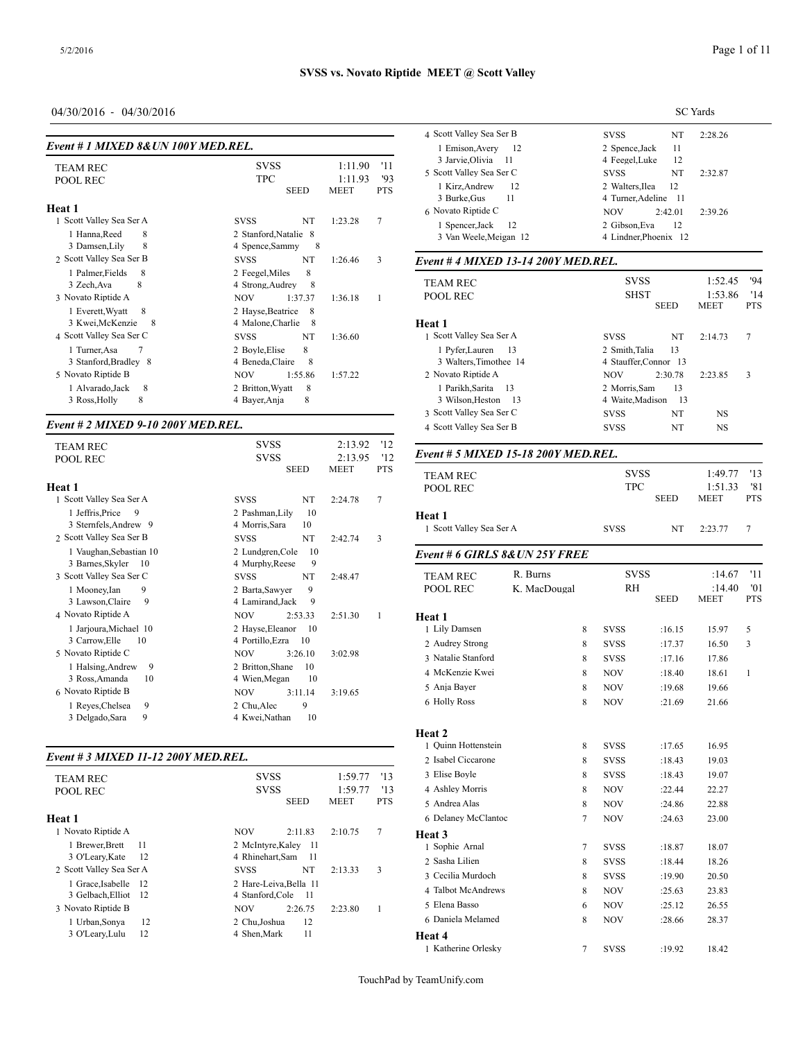# 04/30/2016 - 04/30/2016

| Event # 1 MIXED 8& UN 100Y MED.REL.                                             |                                                                         |                                                              | $50000$ valid vocation<br>1 Emison, Avery<br>12                                                   | ບາບປ<br>2 Spence, Jack                                               |
|---------------------------------------------------------------------------------|-------------------------------------------------------------------------|--------------------------------------------------------------|---------------------------------------------------------------------------------------------------|----------------------------------------------------------------------|
| <b>TEAM REC</b><br><b>POOL REC</b>                                              | <b>SVSS</b><br><b>TPC</b><br><b>SEED</b>                                | 1:11.90<br>'11<br>1:11.93<br>93<br><b>MEET</b><br><b>PTS</b> | 3 Jarvie, Olivia<br>-11<br>5 Scott Valley Sea Ser C<br>12<br>1 Kirz, Andrew<br>11<br>3 Burke, Gus | 4 Feegel, Luke<br><b>SVSS</b><br>2 Walters.Ilea<br>4 Turner, Adeline |
| Heat 1<br>1 Scott Valley Sea Ser A<br>8<br>1 Hanna, Reed<br>8<br>3 Damsen, Lily | <b>SVSS</b><br>NT<br>2 Stanford, Natalie 8<br>4 Spence, Sammy<br>-8     | $7\phantom{.0}$<br>1:23.28                                   | 6 Novato Riptide C<br>12<br>1 Spencer, Jack<br>3 Van Weele, Meigan 12                             | <b>NOV</b><br>2:42<br>2 Gibson, Eva<br>4 Lindner, Phoenix            |
| 2 Scott Valley Sea Ser B                                                        | NT<br><b>SVSS</b>                                                       | 3<br>1:26.46                                                 | Event # 4 MIXED 13-14 200Y MED.REL.                                                               |                                                                      |
| 1 Palmer, Fields<br>-8<br>8<br>3 Zech, Ava<br>3 Novato Riptide A                | 2 Feegel, Miles<br>8<br>8<br>4 Strong, Audrey<br>1:37.37<br><b>NOV</b>  | 1:36.18                                                      | <b>TEAM REC</b><br><b>POOL REC</b>                                                                | <b>SVSS</b><br><b>SHST</b><br><b>SEE</b>                             |
| 1 Everett, Wyatt<br>8<br>3 Kwei, McKenzie<br>- 8<br>4 Scott Valley Sea Ser C    | 2 Hayse, Beatrice<br>8<br>4 Malone, Charlie<br>- 8<br><b>SVSS</b><br>NT | 1:36.60                                                      | Heat 1<br>1 Scott Valley Sea Ser A                                                                | <b>SVSS</b>                                                          |
| 1 Turner, Asa<br>3 Stanford, Bradley 8<br>5 Novato Riptide B                    | 8<br>2 Boyle, Elise<br>4 Beneda, Claire<br>8<br><b>NOV</b><br>1:55.86   | 1:57.22                                                      | 13<br>1 Pyfer, Lauren<br>3 Walters, Timothee 14<br>2 Novato Riptide A                             | 2 Smith, Talia<br>4 Stauffer, Connor<br><b>NOV</b><br>2:30           |
| 1 Alvarado, Jack<br>8<br>3 Ross, Holly<br>8                                     | 2 Britton, Wyatt<br>8<br>8<br>4 Bayer, Anja                             |                                                              | 1 Parikh, Sarita<br>13<br>3 Wilson, Heston<br>-13                                                 | 2 Morris, Sam<br>4 Waite, Madison                                    |

### *Event # 2 MIXED 9-10 200Y MED.REL.*

|                                                                                                                                                                                                 |                                                                      | Event # 5 MIXE                                                                                                      |
|-------------------------------------------------------------------------------------------------------------------------------------------------------------------------------------------------|----------------------------------------------------------------------|---------------------------------------------------------------------------------------------------------------------|
| <b>SEED</b>                                                                                                                                                                                     | <b>MEET</b><br><b>PTS</b>                                            | <b>TEAM REC</b><br><b>POOL REC</b>                                                                                  |
| NT<br><b>SVSS</b>                                                                                                                                                                               | 7<br>2:24.78                                                         |                                                                                                                     |
| 10<br>2 Pashman, Lily<br>4 Morris, Sara<br>10                                                                                                                                                   |                                                                      | Heat 1<br>1 Scott Valley Sea                                                                                        |
| NT<br><b>SVSS</b>                                                                                                                                                                               | 3<br>2:42.74                                                         |                                                                                                                     |
| 10<br>2 Lundgren, Cole<br>9                                                                                                                                                                     |                                                                      | Event # 6 GIRL.                                                                                                     |
| NT<br><b>SVSS</b><br>9<br>2 Barta, Sawyer<br>9<br>4 Lamirand.Jack                                                                                                                               | 2:48.47                                                              | <b>TEAM REC</b><br><b>POOL REC</b>                                                                                  |
| <b>NOV</b><br>2:53.33<br>2 Hayse, Eleanor<br>10<br>4 Portillo, Ezra<br>10<br>3:26.10<br><b>NOV</b><br>2 Britton, Shane<br>10<br>10<br>4 Wien, Megan<br><b>NOV</b><br>3:11.14<br>9<br>2 Chu.Alec | 2:51.30<br>1<br>3:02.98<br>3:19.65                                   | Heat 1<br>1 Lily Damsen<br>2 Audrey Strong<br>3 Natalie Stanford<br>4 McKenzie Kwei<br>5 Anja Bayer<br>6 Holly Ross |
|                                                                                                                                                                                                 | <b>SVSS</b><br><b>SVSS</b><br>4 Murphy, Reese<br>10<br>4 Kwei,Nathan | 2:13.92<br>'12<br>'12<br>2:13.95                                                                                    |

#### *Event # 3 MIXED 11-12 200Y MED.REL.*

|                          |                | $\mathcal{L}$ roughly experience |
|--------------------------|----------------|----------------------------------|
| <b>SVSS</b>              | 1:59.77<br>'13 | 3 Elise Boyle                    |
| <b>SVSS</b>              | 1:59.77<br>13  | 4 Ashley Morris                  |
|                          |                | 5 Andrea Alas                    |
|                          |                | 6 Delaney McClar                 |
| <b>NOV</b><br>2:11.83    | 7<br>2:10.75   | Heat 3                           |
| 2 McIntyre, Kaley<br>-11 |                | 1 Sophie Arnal                   |
| 4 Rhinehart, Sam<br>- 11 |                | 2 Sasha Lilien                   |
| NT<br><b>SVSS</b>        | 3<br>2:13.33   | 3 Cecilia Murdocl                |
| 2 Hare-Leiva, Bella 11   |                |                                  |
| 4 Stanford, Cole<br>- 11 |                | 4 Talbot McAndre                 |
| <b>NOV</b><br>2:26.75    | 2:23.80        | 5 Elena Basso                    |
| 12<br>2 Chu.Joshua       |                | 6 Daniela Melame                 |
| 11<br>4 Shen.Mark        |                | Heat 4                           |
|                          | <b>SEED</b>    | <b>MEET</b><br><b>PTS</b>        |

|                                | SC Yards                     |
|--------------------------------|------------------------------|
| 4 Scott Vallev Sea Ser B       | <b>SVSS</b><br>NT<br>2:28.26 |
| 1 Emison, Avery 12             | 11<br>2 Spence, Jack         |
| 3 Jarvie, Olivia 11            | 4 Feegel, Luke<br>- 12       |
| 5 Scott Vallev Sea Ser C       | NT<br><b>SVSS</b><br>2:32.87 |
| 1 Kirz, Andrew<br>- 12         | 2 Walters.Ilea<br>12         |
| 3 Burke, Gus<br>$\frac{11}{2}$ | 4 Turner, Adeline 11         |
| 6 Novato Riptide C             | NOV.<br>2:42.01<br>2:39.26   |
| 1 Spencer, Jack 12             | 2 Gibson.Eva<br>-12          |
| 3 Van Weele, Meigan 12         | 4 Lindner, Phoenix 12        |

| <b>TEAM REC</b><br>POOL REC | <b>SVSS</b><br><b>SHST</b><br><b>SEED</b> | '94<br>1:52.45<br>1:53.86<br>'14<br><b>MEET</b><br><b>PTS</b> |
|-----------------------------|-------------------------------------------|---------------------------------------------------------------|
| Heat 1                      |                                           |                                                               |
| 1 Scott Valley Sea Ser A    | NT<br><b>SVSS</b>                         | 7<br>2:14.73                                                  |
| 1 Pyfer, Lauren 13          | 2 Smith, Talia<br>13                      |                                                               |
| 3 Walters.Timothee 14       | 4 Stauffer.Connor 13                      |                                                               |
| 2 Novato Riptide A          | <b>NOV</b><br>2:30.78                     | 3<br>2:23.85                                                  |
| 1 Parikh, Sarita 13         | 13<br>2 Morris, Sam                       |                                                               |
| 3 Wilson. Heston 13         | 4 Waite, Madison<br>- 13                  |                                                               |
| 3 Scott Valley Sea Ser C    | NT<br><b>SVSS</b>                         | NS                                                            |
| 4 Scott Valley Sea Ser B    | NT<br><b>SVSS</b>                         | NS                                                            |
|                             |                                           |                                                               |

| Event # 5 MIXED 15-18 200Y MED.REL. |              |             |             |             |              |
|-------------------------------------|--------------|-------------|-------------|-------------|--------------|
| <b>TEAM REC</b>                     |              |             | <b>SVSS</b> |             | '13          |
| POOL REC                            |              |             | <b>TPC</b>  |             | '81          |
|                                     |              |             | <b>SEED</b> | MEET        | <b>PTS</b>   |
| Heat 1                              |              |             |             |             |              |
| 1 Scott Valley Sea Ser A            |              | <b>SVSS</b> | NT          | 2:23.77     | $\tau$       |
| Event # 6 GIRLS 8& UN 25Y FREE      |              |             |             |             |              |
| <b>TEAM REC</b>                     | R. Burns     | <b>SVSS</b> |             | :14.67      | '11          |
| POOL REC                            | K. MacDougal | RH          |             | :14.40      | '01          |
|                                     |              |             | <b>SEED</b> | <b>MEET</b> | <b>PTS</b>   |
| Heat 1                              |              |             |             |             |              |
| 1 Lily Damsen                       | 8            | <b>SVSS</b> | :16.15      | 15.97       | 5            |
| 2 Audrey Strong                     | 8            | <b>SVSS</b> | :17.37      | 16.50       | 3            |
| 3 Natalie Stanford                  | 8            | <b>SVSS</b> | :17.16      | 17.86       |              |
| 4 McKenzie Kwei                     | 8            | <b>NOV</b>  | :18.40      | 18.61       | $\mathbf{1}$ |
| 5 Anja Bayer                        | 8            | <b>NOV</b>  | :19.68      | 19.66       |              |
| 6 Holly Ross                        | 8            | <b>NOV</b>  | :21.69      | 21.66       |              |
| Heat 2                              |              |             |             |             |              |
| 1 Ouinn Hottenstein                 | 8            | <b>SVSS</b> | :17.65      | 16.95       |              |
| 2 Isabel Ciccarone                  | 8            | <b>SVSS</b> | :18.43      | 19.03       |              |
| 3 Elise Boyle                       | 8            | <b>SVSS</b> | :18.43      | 19.07       |              |
| 4 Ashley Morris                     | 8            | NOV         | :22.44      | 22.27       |              |
| 5 Andrea Alas                       | 8            | <b>NOV</b>  | :24.86      | 22.88       |              |
| 6 Delaney McClantoc                 | $\tau$       | NOV         | :24.63      | 23.00       |              |
| Heat 3                              |              |             |             |             |              |
| 1 Sophie Arnal                      | 7            | <b>SVSS</b> | :18.87      | 18.07       |              |
| 2 Sasha Lilien                      | 8            | <b>SVSS</b> | :18.44      | 18.26       |              |
| 3 Cecilia Murdoch                   | 8            | <b>SVSS</b> | :19.90      | 20.50       |              |
| 4 Talbot McAndrews                  | 8            | <b>NOV</b>  | :25.63      | 23.83       |              |
| 5 Elena Basso                       | 6            | <b>NOV</b>  | :25.12      | 26.55       |              |
| 6 Daniela Melamed                   | 8            | <b>NOV</b>  | :28.66      | 28.37       |              |
| Heat 4                              |              |             |             |             |              |
| 1 Katherine Orlesky                 | 7            | SVSS        | :19.92      | 18.42       |              |
|                                     |              |             |             |             |              |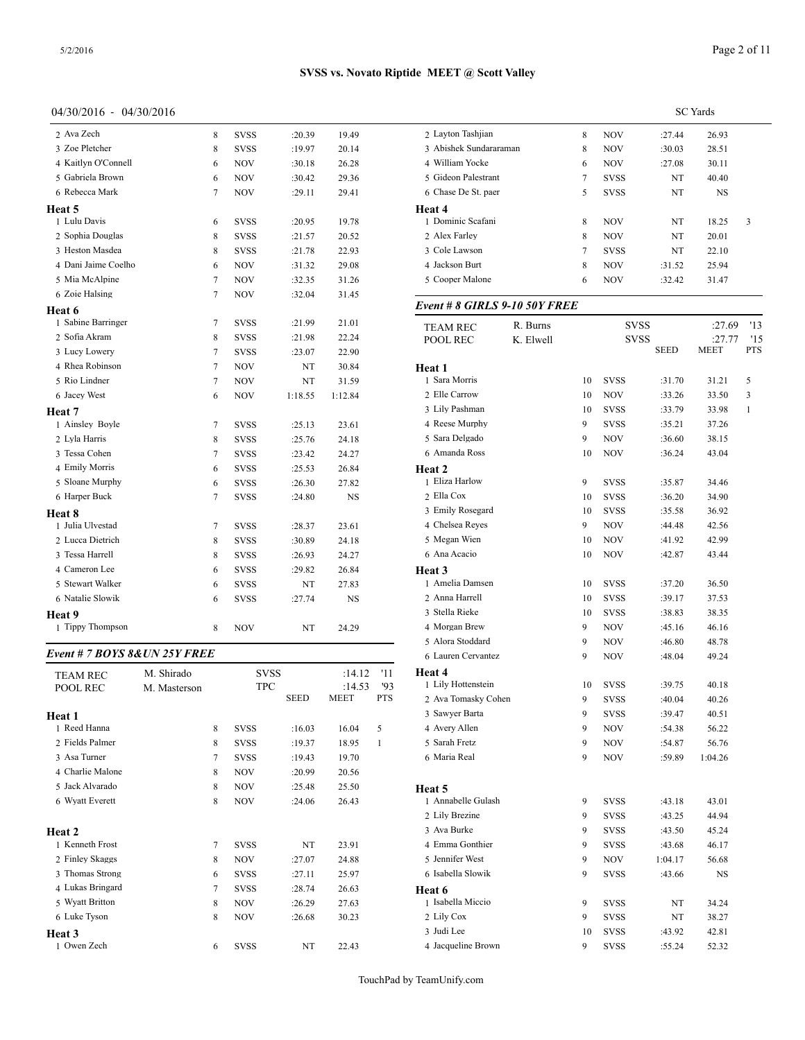### 04/30/2016 - 04/30/2016

| 2 Ava Zech                      |              | 8 | <b>SVSS</b> | :20.39      | 19.49                 | 2 Layton Tashjian                             |
|---------------------------------|--------------|---|-------------|-------------|-----------------------|-----------------------------------------------|
| 3 Zoe Pletcher                  |              | 8 | <b>SVSS</b> | :19.97      | 20.14                 | 3 Abishek Sundar                              |
| 4 Kaitlyn O'Connell             |              | 6 | NOV         | :30.18      | 26.28                 | 4 William Yocke                               |
| 5 Gabriela Brown                |              | 6 | NOV         | :30.42      | 29.36                 | 5 Gideon Palestra                             |
| 6 Rebecca Mark                  |              | 7 | NOV         | :29.11      | 29.41                 | 6 Chase De St. pa                             |
| Heat 5                          |              |   |             |             |                       | Heat 4                                        |
| 1 Lulu Davis                    |              | 6 | <b>SVSS</b> | :20.95      | 19.78                 | 1 Dominic Scafan                              |
| 2 Sophia Douglas                |              | 8 | <b>SVSS</b> | :21.57      | 20.52                 | 2 Alex Farley                                 |
| 3 Heston Masdea                 |              | 8 | <b>SVSS</b> | :21.78      | 22.93                 | 3 Cole Lawson                                 |
| 4 Dani Jaime Coelho             |              | 6 | NOV         | :31.32      | 29.08                 | 4 Jackson Burt                                |
| 5 Mia McAlpine                  |              | 7 | NOV         | :32.35      | 31.26                 | 5 Cooper Malone                               |
| 6 Zoie Halsing                  |              | 7 | NOV         | :32.04      | 31.45                 |                                               |
| Heat 6                          |              |   |             |             |                       | Event # 8 GIRL.                               |
| 1 Sabine Barringer              |              | 7 | <b>SVSS</b> | :21.99      | 21.01                 | <b>TEAM REC</b>                               |
| 2 Sofia Akram                   |              | 8 | <b>SVSS</b> | :21.98      | 22.24                 | POOL REC                                      |
| 3 Lucy Lowery                   |              | 7 | <b>SVSS</b> | :23.07      | 22.90                 |                                               |
| 4 Rhea Robinson                 |              | 7 | NOV         | NT          | 30.84                 | Heat 1                                        |
| 5 Rio Lindner                   |              | 7 | <b>NOV</b>  | NT          | 31.59                 | 1 Sara Morris                                 |
| 6 Jacey West                    |              | 6 | NOV         | 1:18.55     | 1:12.84               | 2 Elle Carrow                                 |
| Heat 7                          |              |   |             |             |                       | 3 Lily Pashman                                |
| 1 Ainsley Boyle                 |              | 7 | <b>SVSS</b> | :25.13      | 23.61                 | 4 Reese Murphy                                |
| 2 Lyla Harris                   |              | 8 | <b>SVSS</b> | :25.76      | 24.18                 | 5 Sara Delgado                                |
| 3 Tessa Cohen                   |              | 7 | <b>SVSS</b> | :23.42      | 24.27                 | 6 Amanda Ross                                 |
| 4 Emily Morris                  |              | 6 | <b>SVSS</b> | :25.53      | 26.84                 | <b>Heat 2</b>                                 |
| 5 Sloane Murphy                 |              | 6 | <b>SVSS</b> | :26.30      | 27.82                 | 1 Eliza Harlow                                |
| 6 Harper Buck                   |              | 7 | <b>SVSS</b> | :24.80      | NS                    | 2 Ella Cox                                    |
| Heat 8                          |              |   |             |             |                       | 3 Emily Rosegard                              |
| 1 Julia Ulvestad                |              | 7 | <b>SVSS</b> | :28.37      | 23.61                 | 4 Chelsea Reyes                               |
| 2 Lucca Dietrich                |              | 8 | <b>SVSS</b> | :30.89      | 24.18                 | 5 Megan Wien                                  |
| 3 Tessa Harrell                 |              | 8 | <b>SVSS</b> | :26.93      | 24.27                 | 6 Ana Acacio                                  |
| 4 Cameron Lee                   |              | 6 | <b>SVSS</b> | :29.82      | 26.84                 | Heat 3                                        |
| 5 Stewart Walker                |              | 6 | SVSS        | NT          | 27.83                 | 1 Amelia Damsen                               |
| 6 Natalie Slowik                |              | 6 | <b>SVSS</b> | :27.74      | NS                    | 2 Anna Harrell                                |
| Heat 9                          |              |   |             |             |                       | 3 Stella Rieke                                |
| 1 Tippy Thompson                |              | 8 | NOV         | NT          | 24.29                 | 4 Morgan Brew                                 |
| Event # 7 BOYS 8& UN 25Y FREE   |              |   |             |             |                       | 5 Alora Stoddard                              |
|                                 |              |   |             |             |                       | 6 Lauren Cervante                             |
| <b>TEAM REC</b>                 | M. Shirado   |   | <b>SVSS</b> |             | :14.12                | Heat 4<br>'11                                 |
| POOL REC                        | M. Masterson |   | TPC         | <b>SEED</b> | :14.53<br><b>MEET</b> | 1 Lily Hottenstein<br>'93<br><b>PTS</b>       |
|                                 |              |   |             |             |                       | 2 Ava Tomasky C                               |
| Heat 1                          |              |   |             |             |                       | 3 Sawyer Barta                                |
| 1 Reed Hanna<br>2 Fields Palmer |              | 8 | <b>SVSS</b> | :16.03      | 16.04                 | 4 Avery Allen<br>5                            |
|                                 |              | 8 | SVSS        | :19.37      | 18.95                 | 5 Sarah Fretz<br>$\mathbf{1}$<br>6 Maria Real |
| 3 Asa Turner                    |              | 7 | <b>SVSS</b> | :19.43      | 19.70                 |                                               |
| 4 Charlie Malone                |              | 8 | NOV         | :20.99      | 20.56                 |                                               |
| 5 Jack Alvarado                 |              | 8 | NOV         | :25.48      | 25.50                 | Heat 5                                        |
| 6 Wyatt Everett                 |              | 8 | NOV         | :24.06      | 26.43                 | 1 Annabelle Gulas                             |
|                                 |              |   |             |             |                       | 2 Lily Brezine                                |
| Heat 2                          |              |   |             |             |                       | 3 Ava Burke                                   |
| 1 Kenneth Frost                 |              | 7 | <b>SVSS</b> | NT          | 23.91                 | 4 Emma Gonthier                               |
| 2 Finley Skaggs                 |              | 8 | NOV         | :27.07      | 24.88                 | 5 Jennifer West                               |
| 3 Thomas Strong                 |              | 6 | SVSS        | :27.11      | 25.97                 | 6 Isabella Slowik                             |
| 4 Lukas Bringard                |              | 7 | SVSS        | :28.74      | 26.63                 | Heat 6                                        |
| 5 Wyatt Britton                 |              | 8 | NOV         | :26.29      | 27.63                 | 1 Isabella Miccio                             |
| 6 Luke Tyson                    |              | 8 | NOV         | :26.68      | 30.23                 | 2 Lily Cox                                    |
| Heat 3                          |              |   |             |             |                       | 3 Judi Lee                                    |

1 Owen Zech 6 SVSS NT 22.43

|                                   |           | <b>SC</b> Yards |                    |                  |                |            |  |
|-----------------------------------|-----------|-----------------|--------------------|------------------|----------------|------------|--|
| 2 Layton Tashjian                 |           | 8               | <b>NOV</b>         | :27.44           | 26.93          |            |  |
| 3 Abishek Sundararaman            |           | 8               | <b>NOV</b>         | :30.03           | 28.51          |            |  |
| 4 William Yocke                   |           | 6               | NOV                | :27.08           | 30.11          |            |  |
| 5 Gideon Palestrant               |           | 7               | <b>SVSS</b>        | NT               | 40.40          |            |  |
| 6 Chase De St. paer               |           | 5               | <b>SVSS</b>        | NT               | NS             |            |  |
| Heat 4                            |           |                 |                    |                  |                |            |  |
| 1 Dominic Scafani                 |           | 8               | NOV                | NT               | 18.25          | 3          |  |
| 2 Alex Farley                     |           | 8               | NOV                | NT               | 20.01          |            |  |
| 3 Cole Lawson                     |           | 7               | <b>SVSS</b>        | NT               | 22.10          |            |  |
| 4 Jackson Burt<br>5 Cooper Malone |           | 8               | NOV                | :31.52           | 25.94          |            |  |
|                                   |           | 6               | NOV                | :32.42           | 31.47          |            |  |
| Event # 8 GIRLS 9-10 50Y FREE     |           |                 |                    |                  |                |            |  |
| TEAM REC                          | R. Burns  |                 | svss               |                  | :27.69         | '13        |  |
| POOL REC                          | K. Elwell |                 | svss               |                  | :27.77         | '15        |  |
|                                   |           |                 |                    | <b>SEED</b>      | MEET           | <b>PTS</b> |  |
| <b>Heat 1</b>                     |           |                 |                    |                  |                |            |  |
| 1 Sara Morris                     |           | 10              | <b>SVSS</b>        | :31.70           | 31.21          | 5          |  |
| 2 Elle Carrow                     |           | 10              | NOV                | :33.26           | 33.50          | 3          |  |
| 3 Lily Pashman<br>4 Reese Murphy  |           | 10              | <b>SVSS</b>        | :33.79           | 33.98          | 1          |  |
| 5 Sara Delgado                    |           | 9<br>9          | <b>SVSS</b><br>NOV | :35.21           | 37.26          |            |  |
| 6 Amanda Ross                     |           | 10              | NOV                | :36.60<br>:36.24 | 38.15<br>43.04 |            |  |
| Heat 2                            |           |                 |                    |                  |                |            |  |
| 1 Eliza Harlow                    |           | 9               | <b>SVSS</b>        | :35.87           | 34.46          |            |  |
| 2 Ella Cox                        |           | 10              | <b>SVSS</b>        | :36.20           | 34.90          |            |  |
| 3 Emily Rosegard                  |           | 10              | <b>SVSS</b>        | :35.58           | 36.92          |            |  |
| 4 Chelsea Reyes                   |           | 9               | NOV                | :44.48           | 42.56          |            |  |
| 5 Megan Wien                      |           | 10              | <b>NOV</b>         | :41.92           | 42.99          |            |  |
| 6 Ana Acacio                      |           | 10              | NOV                | :42.87           | 43.44          |            |  |
| Heat 3                            |           |                 |                    |                  |                |            |  |
| 1 Amelia Damsen                   |           | 10              | <b>SVSS</b>        | :37.20           | 36.50          |            |  |
| 2 Anna Harrell                    |           | 10              | <b>SVSS</b>        | :39.17           | 37.53          |            |  |
| 3 Stella Rieke                    |           | 10              | <b>SVSS</b>        | :38.83           | 38.35          |            |  |
| 4 Morgan Brew                     |           | 9               | <b>NOV</b>         | :45.16           | 46.16          |            |  |
| 5 Alora Stoddard                  |           | 9               | NOV                | :46.80           | 48.78          |            |  |
| 6 Lauren Cervantez                |           | 9               | NOV                | :48.04           | 49.24          |            |  |
| Heat 4                            |           |                 |                    |                  |                |            |  |
| 1 Lily Hottenstein                |           | 10              | <b>SVSS</b>        | :39.75           | 40.18          |            |  |
| 2 Ava Tomasky Cohen               |           | 9               | <b>SVSS</b>        | :40.04           | 40.26          |            |  |
| 3 Sawyer Barta                    |           | 9               | <b>SVSS</b>        | :39.47           | 40.51          |            |  |
| 4 Avery Allen                     |           | 9               | <b>NOV</b>         | :54.38           | 56.22          |            |  |
| 5 Sarah Fretz                     |           | 9               | NOV                | :54.87           | 56.76          |            |  |
| 6 Maria Real                      |           | 9               | <b>NOV</b>         | :59.89           | 1:04.26        |            |  |
| Heat 5                            |           |                 |                    |                  |                |            |  |
| 1 Annabelle Gulash                |           | 9               | <b>SVSS</b>        | :43.18           | 43.01          |            |  |
| 2 Lily Brezine                    |           | 9               | <b>SVSS</b>        | :43.25           | 44.94          |            |  |
| 3 Ava Burke                       |           | 9               | <b>SVSS</b>        | :43.50           | 45.24          |            |  |
| 4 Emma Gonthier                   |           | 9               | <b>SVSS</b>        | :43.68           | 46.17          |            |  |
| 5 Jennifer West                   |           | 9               | NOV                | 1:04.17          | 56.68          |            |  |
| 6 Isabella Slowik                 |           | 9               | <b>SVSS</b>        | :43.66           | NS             |            |  |
| Heat 6                            |           |                 |                    |                  |                |            |  |
| 1 Isabella Miccio                 |           | 9               | <b>SVSS</b>        | NT               | 34.24          |            |  |
| 2 Lily Cox                        |           | 9               | SVSS               | NT               | 38.27          |            |  |
| 3 Judi Lee                        |           | 10              | SVSS               | :43.92           | 42.81          |            |  |
| 4 Jacqueline Brown                |           | 9               | <b>SVSS</b>        | :55.24           | 52.32          |            |  |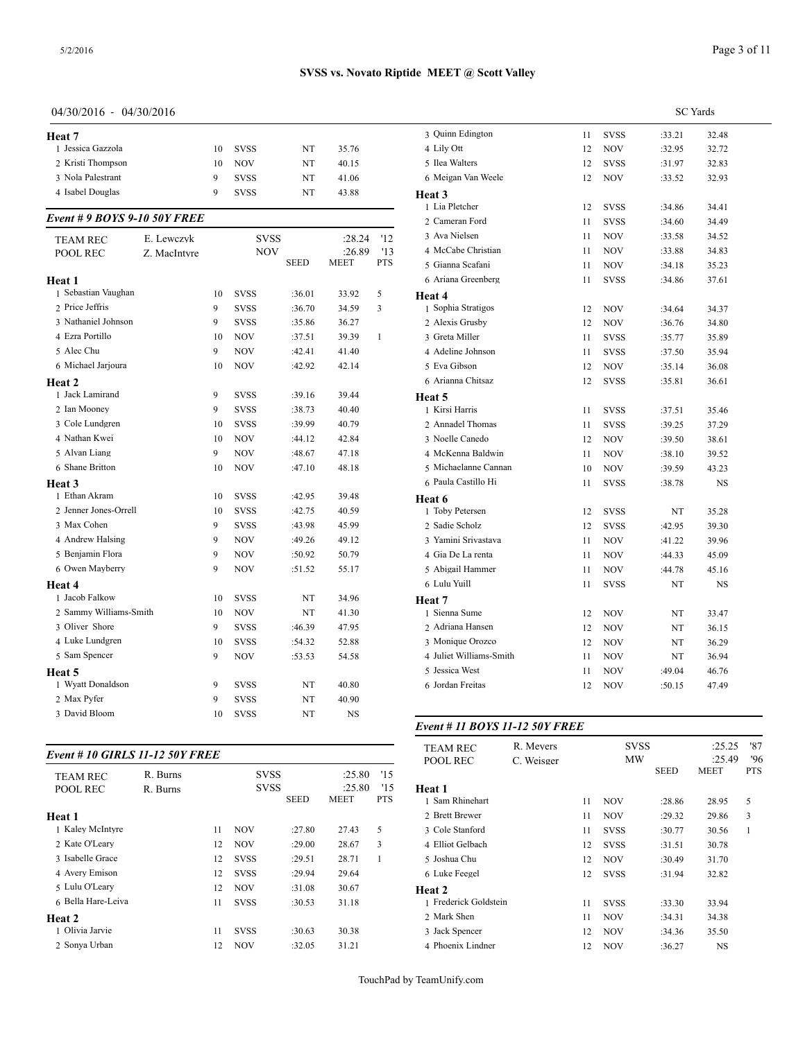| Heat 7                       |              |    |             |             |             |              | 3 Quinn Edington                 |
|------------------------------|--------------|----|-------------|-------------|-------------|--------------|----------------------------------|
| 1 Jessica Gazzola            |              | 10 | <b>SVSS</b> | NT          | 35.76       |              | 4 Lily Ott                       |
| 2 Kristi Thompson            |              | 10 | <b>NOV</b>  | NT          | 40.15       |              | 5 Ilea Walters                   |
| 3 Nola Palestrant            |              | 9  | <b>SVSS</b> | NT          | 41.06       |              | 6 Meigan Van We                  |
| 4 Isabel Douglas             |              | 9  | <b>SVSS</b> | NT          | 43.88       |              | Heat 3                           |
| Event # 9 BOYS 9-10 50Y FREE |              |    |             |             |             |              | 1 Lia Pletcher<br>2 Cameran Ford |
| <b>TEAM REC</b>              | E. Lewczyk   |    | <b>SVSS</b> |             | :28.24      | '12          | 3 Ava Nielsen                    |
| POOL REC                     | Z. MacIntyre |    | <b>NOV</b>  |             | :26.89      | '13          | 4 McCabe Christia                |
|                              |              |    |             | <b>SEED</b> | <b>MEET</b> | <b>PTS</b>   | 5 Gianna Scafani                 |
| Heat 1                       |              |    |             |             |             |              | 6 Ariana Greenber                |
| 1 Sebastian Vaughan          |              | 10 | <b>SVSS</b> | :36.01      | 33.92       | 5            | Heat 4                           |
| 2 Price Jeffris              |              | 9  | <b>SVSS</b> | :36.70      | 34.59       | 3            | 1 Sophia Stratigos               |
| 3 Nathaniel Johnson          |              | 9  | <b>SVSS</b> | :35.86      | 36.27       |              | 2 Alexis Grusby                  |
| 4 Ezra Portillo              |              | 10 | <b>NOV</b>  | :37.51      | 39.39       | $\mathbf{1}$ | 3 Greta Miller                   |
| 5 Alec Chu                   |              | 9  | <b>NOV</b>  | :42.41      | 41.40       |              | 4 Adeline Johnsor                |
| 6 Michael Jarjoura           |              | 10 | <b>NOV</b>  | :42.92      | 42.14       |              | 5 Eva Gibson                     |
| Heat 2                       |              |    |             |             |             |              | 6 Arianna Chitsaz                |
| 1 Jack Lamirand              |              | 9  | <b>SVSS</b> | :39.16      | 39.44       |              | Heat 5                           |
| 2 Ian Mooney                 |              | 9  | <b>SVSS</b> | :38.73      | 40.40       |              | 1 Kirsi Harris                   |
| 3 Cole Lundgren              |              | 10 | <b>SVSS</b> | :39.99      | 40.79       |              | 2 Annadel Thoma                  |
| 4 Nathan Kwei                |              | 10 | NOV         | :44.12      | 42.84       |              | 3 Noelle Canedo                  |
| 5 Alvan Liang                |              | 9  | <b>NOV</b>  | :48.67      | 47.18       |              | 4 McKenna Baldv                  |
| 6 Shane Britton              |              | 10 | <b>NOV</b>  | :47.10      | 48.18       |              | 5 Michaelanne Ca                 |
| Heat 3                       |              |    |             |             |             |              | 6 Paula Castillo H               |
| 1 Ethan Akram                |              | 10 | <b>SVSS</b> | :42.95      | 39.48       |              | Heat 6                           |
| 2 Jenner Jones-Orrell        |              | 10 | <b>SVSS</b> | :42.75      | 40.59       |              | 1 Toby Petersen                  |
| 3 Max Cohen                  |              | 9  | <b>SVSS</b> | :43.98      | 45.99       |              | 2 Sadie Scholz                   |
| 4 Andrew Halsing             |              | 9  | NOV         | :49.26      | 49.12       |              | 3 Yamini Srivasta                |
| 5 Benjamin Flora             |              | 9  | <b>NOV</b>  | :50.92      | 50.79       |              | 4 Gia De La renta                |
| 6 Owen Mayberry              |              | 9  | <b>NOV</b>  | :51.52      | 55.17       |              | 5 Abigail Hamme                  |
| Heat 4                       |              |    |             |             |             |              | 6 Lulu Yuill                     |
| 1 Jacob Falkow               |              | 10 | <b>SVSS</b> | NT          | 34.96       |              | Heat 7                           |
| 2 Sammy Williams-Smith       |              | 10 | NOV         | NT          | 41.30       |              | 1 Sienna Sume                    |
| 3 Oliver Shore               |              | 9  | <b>SVSS</b> | :46.39      | 47.95       |              | 2 Adriana Hansen                 |
| 4 Luke Lundgren              |              | 10 | <b>SVSS</b> | :54.32      | 52.88       |              | 3 Monique Orozco                 |
| 5 Sam Spencer                |              | 9  | <b>NOV</b>  | :53.53      | 54.58       |              | 4 Juliet Williams-               |
| Heat 5                       |              |    |             |             |             |              | 5 Jessica West                   |
| 1 Wyatt Donaldson            |              | 9  | <b>SVSS</b> | NT          | 40.80       |              | 6 Jordan Freitas                 |
| 2 Max Pyfer                  |              | 9  | <b>SVSS</b> | NT          | 40.90       |              |                                  |
| 3 David Bloom                |              | 10 | <b>SVSS</b> | NT          | NS          |              |                                  |
|                              |              |    |             |             |             |              | Event # 11 BOY.                  |
|                              |              |    |             |             |             |              | TE AM DEC                        |

# *Event # 10 GIRLS 11-12 50Y FREE*

|                    |          |    |             |             |             |            | PUUL KEU          |
|--------------------|----------|----|-------------|-------------|-------------|------------|-------------------|
| <b>TEAM REC</b>    | R. Burns |    | <b>SVSS</b> |             | :25.80      | '15        |                   |
| <b>POOL REC</b>    | R. Burns |    | <b>SVSS</b> |             | :25.80      | '15        | Heat 1            |
|                    |          |    |             | <b>SEED</b> | <b>MEET</b> | <b>PTS</b> | 1 Sam Rhinehart   |
| Heat 1             |          |    |             |             |             |            | 2 Brett Brewer    |
| 1 Kaley McIntyre   |          | 11 | <b>NOV</b>  | :27.80      | 27.43       | 5          | 3 Cole Stanford   |
| 2 Kate O'Leary     |          | 12 | <b>NOV</b>  | :29.00      | 28.67       | 3          | 4 Elliot Gelbach  |
| 3 Isabelle Grace   |          | 12 | <b>SVSS</b> | :29.51      | 28.71       | 1          | 5 Joshua Chu      |
| 4 Avery Emison     |          | 12 | <b>SVSS</b> | :29.94      | 29.64       |            | 6 Luke Feegel     |
| 5 Lulu O'Learv     |          | 12 | <b>NOV</b>  | :31.08      | 30.67       |            | <b>Heat 2</b>     |
| 6 Bella Hare-Leiva |          | 11 | <b>SVSS</b> | :30.53      | 31.18       |            | 1 Frederick Golds |
| Heat 2             |          |    |             |             |             |            | 2 Mark Shen       |
| 1 Olivia Jarvie    |          | 11 | <b>SVSS</b> | :30.63      | 30.38       |            | 3 Jack Spencer    |
| 2 Sonva Urban      |          | 12 | <b>NOV</b>  | :32.05      | 31.21       |            | 4 Phoenix Lindner |

|                         |    |             | <b>SC</b> Yards |           |  |
|-------------------------|----|-------------|-----------------|-----------|--|
| 3 Quinn Edington        | 11 | <b>SVSS</b> | :33.21          | 32.48     |  |
| 4 Lily Ott              | 12 | <b>NOV</b>  | :32.95          | 32.72     |  |
| 5 Ilea Walters          | 12 | SVSS        | :31.97          | 32.83     |  |
| 6 Meigan Van Weele      | 12 | NOV         | :33.52          | 32.93     |  |
| Heat 3                  |    |             |                 |           |  |
| 1 Lia Pletcher          | 12 | <b>SVSS</b> | :34.86          | 34.41     |  |
| 2 Cameran Ford          | 11 | SVSS        | :34.60          | 34.49     |  |
| 3 Ava Nielsen           | 11 | <b>NOV</b>  | :33.58          | 34.52     |  |
| 4 McCabe Christian      | 11 | NOV         | :33.88          | 34.83     |  |
| 5 Gianna Scafani        | 11 | <b>NOV</b>  | :34.18          | 35.23     |  |
| 6 Ariana Greenberg      | 11 | SVSS        | :34.86          | 37.61     |  |
| Heat 4                  |    |             |                 |           |  |
| 1 Sophia Stratigos      | 12 | <b>NOV</b>  | :34.64          | 34.37     |  |
| 2 Alexis Grusby         | 12 | NOV         | :36.76          | 34.80     |  |
| 3 Greta Miller          | 11 | SVSS        | :35.77          | 35.89     |  |
| 4 Adeline Johnson       | 11 | SVSS        | :37.50          | 35.94     |  |
| 5 Eva Gibson            | 12 | <b>NOV</b>  | :35.14          | 36.08     |  |
| 6 Arianna Chitsaz       | 12 | SVSS        | :35.81          | 36.61     |  |
| Heat 5                  |    |             |                 |           |  |
| 1 Kirsi Harris          | 11 | <b>SVSS</b> | :37.51          | 35.46     |  |
| 2 Annadel Thomas        | 11 | <b>SVSS</b> | :39.25          | 37.29     |  |
| 3 Noelle Canedo         | 12 | NOV         | :39.50          | 38.61     |  |
| 4 McKenna Baldwin       | 11 | NOV         | :38.10          | 39.52     |  |
| 5 Michaelanne Cannan    | 10 | <b>NOV</b>  | :39.59          | 43.23     |  |
| 6 Paula Castillo Hi     | 11 | <b>SVSS</b> | :38.78          | NS        |  |
| Heat 6                  |    |             |                 |           |  |
| 1 Toby Petersen         | 12 | SVSS        | NT              | 35.28     |  |
| 2 Sadie Scholz          | 12 | <b>SVSS</b> | :42.95          | 39.30     |  |
| 3 Yamini Srivastava     | 11 | NOV         | :41.22          | 39.96     |  |
| 4 Gia De La renta       | 11 | NOV         | :44.33          | 45.09     |  |
| 5 Abigail Hammer        | 11 | <b>NOV</b>  | :44.78          | 45.16     |  |
| 6 Lulu Yuill            | 11 | <b>SVSS</b> | NT              | <b>NS</b> |  |
| Heat 7                  |    |             |                 |           |  |
| 1 Sienna Sume           | 12 | NOV         | NT              | 33.47     |  |
| 2 Adriana Hansen        | 12 | <b>NOV</b>  | NT              | 36.15     |  |
| 3 Monique Orozco        | 12 | NOV         | NT              | 36.29     |  |
| 4 Juliet Williams-Smith | 11 | NOV         | NT              | 36.94     |  |
| 5 Jessica West          | 11 | NOV         | :49.04          | 46.76     |  |
| 6 Jordan Freitas        | 12 | <b>NOV</b>  | :50.15          | 47.49     |  |
|                         |    |             |                 |           |  |

### *Event # 11 BOYS 11-12 50Y FREE*

| <b>TEAM REC</b><br><b>POOL REC</b> | R. Mevers<br>C. Weisger |    | <b>SVSS</b><br>MW | :25.25<br>:25.49 | '87<br>'96  |              |
|------------------------------------|-------------------------|----|-------------------|------------------|-------------|--------------|
|                                    |                         |    |                   | <b>SEED</b>      | <b>MEET</b> | <b>PTS</b>   |
| Heat 1                             |                         |    |                   |                  |             |              |
| 1 Sam Rhinehart                    |                         | 11 | <b>NOV</b>        | :28.86           | 28.95       | 5            |
| 2 Brett Brewer                     |                         | 11 | NOV               | :29.32           | 29.86       | 3            |
| 3 Cole Stanford                    |                         | 11 | <b>SVSS</b>       | :30.77           | 30.56       | $\mathbf{1}$ |
| 4 Elliot Gelbach                   |                         | 12 | <b>SVSS</b>       | :31.51           | 30.78       |              |
| 5 Joshua Chu                       |                         | 12 | <b>NOV</b>        | :30.49           | 31.70       |              |
| 6 Luke Feegel                      |                         | 12 | <b>SVSS</b>       | :31.94           | 32.82       |              |
| <b>Heat 2</b>                      |                         |    |                   |                  |             |              |
| 1 Frederick Goldstein              |                         | 11 | <b>SVSS</b>       | :33.30           | 33.94       |              |
| 2 Mark Shen                        |                         | 11 | <b>NOV</b>        | :34.31           | 34.38       |              |
| 3 Jack Spencer                     |                         | 12 | <b>NOV</b>        | :34.36           | 35.50       |              |
| 4 Phoenix Lindner                  |                         | 12 | <b>NOV</b>        | :36.27           | <b>NS</b>   |              |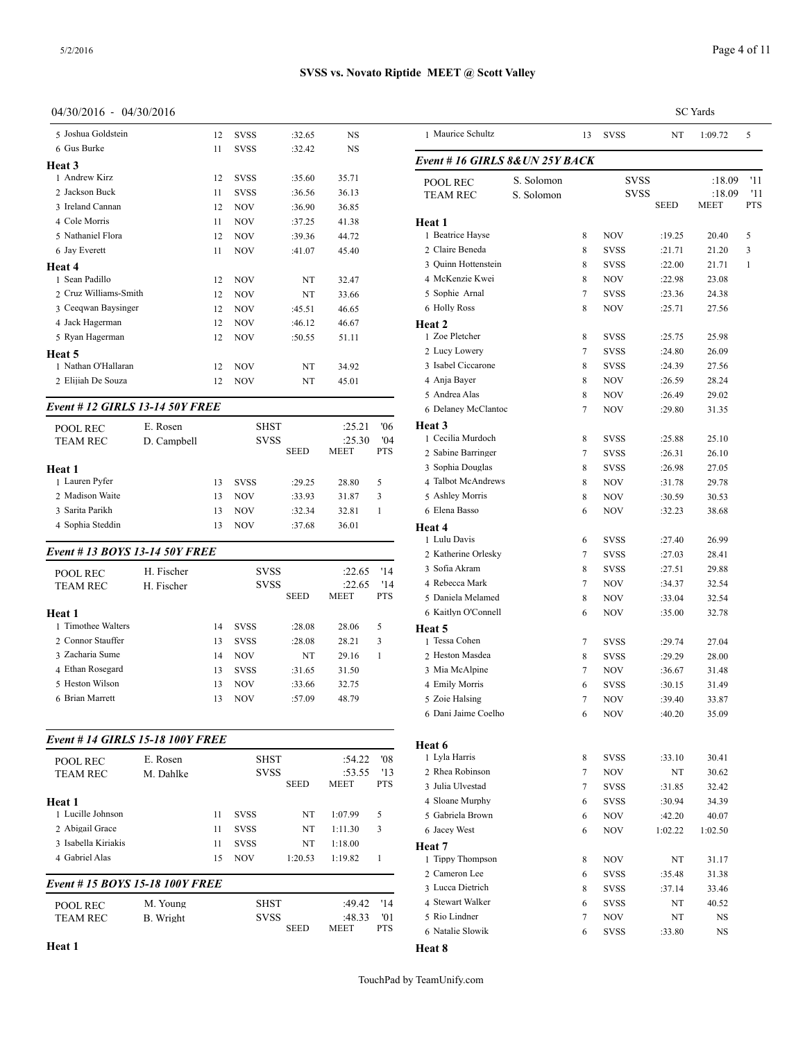### 04/30/2016 - 04/30/2016

| 5 Joshua Goldstein                     |             | 12 | <b>SVSS</b> | :32.65      | <b>NS</b>   |            | 1 Maurice Schultz       |
|----------------------------------------|-------------|----|-------------|-------------|-------------|------------|-------------------------|
| 6 Gus Burke                            |             | 11 | <b>SVSS</b> | :32.42      | <b>NS</b>   |            |                         |
| Heat 3                                 |             |    |             |             |             |            | Event # 16 GIRI         |
| 1 Andrew Kirz                          |             | 12 | <b>SVSS</b> | :35.60      | 35.71       |            | <b>POOL REC</b>         |
| 2 Jackson Buck                         |             | 11 | <b>SVSS</b> | :36.56      | 36.13       |            | <b>TEAM REC</b>         |
| 3 Ireland Cannan                       |             | 12 | <b>NOV</b>  | :36.90      | 36.85       |            |                         |
| 4 Cole Morris                          |             | 11 | <b>NOV</b>  | :37.25      | 41.38       |            | Heat 1                  |
| 5 Nathaniel Flora                      |             | 12 | <b>NOV</b>  | :39.36      | 44.72       |            | 1 Beatrice Hayse        |
| 6 Jay Everett                          |             | 11 | <b>NOV</b>  | :41.07      | 45.40       |            | 2 Claire Beneda         |
| Heat 4                                 |             |    |             |             |             |            | 3 Quinn Hottenste       |
| 1 Sean Padillo                         |             | 12 | <b>NOV</b>  | NT          | 32.47       |            | 4 McKenzie Kwei         |
| 2 Cruz Williams-Smith                  |             | 12 | <b>NOV</b>  | NT          | 33.66       |            | 5 Sophie Arnal          |
| 3 Ceeqwan Baysinger                    |             | 12 | <b>NOV</b>  | :45.51      | 46.65       |            | 6 Holly Ross            |
| 4 Jack Hagerman                        |             | 12 | <b>NOV</b>  | :46.12      | 46.67       |            | Heat 2                  |
| 5 Ryan Hagerman                        |             | 12 | <b>NOV</b>  | :50.55      | 51.11       |            | 1 Zoe Pletcher          |
| Heat 5                                 |             |    |             |             |             |            | 2 Lucy Lowery           |
| 1 Nathan O'Hallaran                    |             | 12 | <b>NOV</b>  | NT          | 34.92       |            | 3 Isabel Ciccarone      |
| 2 Elijiah De Souza                     |             | 12 | <b>NOV</b>  | NT          | 45.01       |            | 4 Anja Bayer            |
|                                        |             |    |             |             |             |            | 5 Andrea Alas           |
| <b>Event # 12 GIRLS 13-14 50Y FREE</b> |             |    |             |             |             |            | 6 Delaney McClar        |
| <b>POOL REC</b>                        | E. Rosen    |    | <b>SHST</b> |             | :25.21      | '06        | Heat 3                  |
| <b>TEAM REC</b>                        | D. Campbell |    | <b>SVSS</b> |             | :25.30      | '04        | 1 Cecilia Murdocl       |
|                                        |             |    |             | <b>SEED</b> | <b>MEET</b> | <b>PTS</b> | 2 Sabine Barringe       |
| Heat 1                                 |             |    |             |             |             |            | 3 Sophia Douglas        |
| 1 Lauren Pyfer                         |             | 13 | <b>SVSS</b> | :29.25      | 28.80       | 5          | 4 Talbot McAndre        |
| 2 Madison Waite                        |             | 13 | <b>NOV</b>  | :33.93      | 31.87       | 3          | 5 Ashlev Morris         |
| 3 Sarita Parikh                        |             | 13 | <b>NOV</b>  | :32.34      | 32.81       | 1          | 6 Elena Basso           |
| 4 Sophia Steddin                       |             | 13 | <b>NOV</b>  | :37.68      | 36.01       |            | Heat 4<br>1 I ulu Davie |

### *Event # 13 BOYS 13-14 50Y FREE*

| <b>POOL REC</b>    | H. Fischer |    | <b>SVSS</b> |             | :22.65                | '14               | 3 Sofia Akram                      |
|--------------------|------------|----|-------------|-------------|-----------------------|-------------------|------------------------------------|
| <b>TEAM REC</b>    | H. Fischer |    | <b>SVSS</b> | <b>SEED</b> | :22.65<br><b>MEET</b> | '14<br><b>PTS</b> | 4 Rebecca Mark<br>5 Daniela Melame |
| Heat 1             |            |    |             |             |                       |                   | 6 Kaitlyn O'Conne                  |
| 1 Timothee Walters |            | 14 | <b>SVSS</b> | :28.08      | 28.06                 | 5                 | Heat 5                             |
| 2. Connor Stauffer |            | 13 | <b>SVSS</b> | :28.08      | 28.21                 | 3                 | 1 Tessa Cohen                      |
| 3 Zacharia Sume    |            | 14 | <b>NOV</b>  | NT          | 29.16                 |                   | 2 Heston Masdea                    |
| 4 Ethan Rosegard   |            | 13 | <b>SVSS</b> | :31.65      | 31.50                 |                   | 3 Mia McAlpine                     |
| 5 Heston Wilson    |            | 13 | <b>NOV</b>  | :33.66      | 32.75                 |                   | 4 Emily Morris                     |
| 6 Brian Marrett    |            | 13 | <b>NOV</b>  | :57.09      | 48.79                 |                   | 5 Zoie Halsing                     |

### *Event # 14 GIRLS 15-18 100Y FREE*

| POOL REC<br><b>TEAM REC</b>    | E. Rosen<br>M. Dahlke |    | <b>SHST</b><br><b>SVSS</b> | <b>SEED</b> | :54.22<br>:53.55<br><b>MEET</b> | $^{\prime}08$<br>'13<br><b>PTS</b> | 1 Lyla Harris<br>2 Rhea Robinson<br>3 Julia Ulvestad |
|--------------------------------|-----------------------|----|----------------------------|-------------|---------------------------------|------------------------------------|------------------------------------------------------|
| <b>Heat 1</b>                  |                       |    |                            |             |                                 |                                    | 4 Sloane Murphy                                      |
| 1 Lucille Johnson              |                       | 11 | <b>SVSS</b>                | NT          | 1:07.99                         | 5                                  | 5 Gabriela Brown                                     |
| 2 Abigail Grace                |                       | 11 | <b>SVSS</b>                | NT          | 1:11.30                         | 3                                  | 6 Jacey West                                         |
| 3 Isabella Kiriakis            |                       | 11 | <b>SVSS</b>                | NT          | 1:18.00                         |                                    | Heat 7                                               |
| 4 Gabriel Alas                 |                       | 15 | <b>NOV</b>                 | 1:20.53     | 1:19.82                         |                                    | 1 Tippy Thompson                                     |
|                                |                       |    |                            |             |                                 |                                    | 2 Cameron Lee                                        |
| Event #15 BOYS 15-18 100Y FREE |                       |    |                            |             |                                 |                                    | 3 Lucca Dietrich                                     |
| POOL REC                       | M. Young              |    | <b>SHST</b>                |             | :49.42                          | '14                                | 4 Stewart Walker                                     |
| <b>TEAM REC</b>                | B. Wright             |    | <b>SVSS</b>                |             | :48.33                          | '01                                | 5 Rio Lindner                                        |
|                                |                       |    |                            | <b>SEED</b> | <b>MEET</b>                     | <b>PTS</b>                         | 6 Natalie Slowik                                     |

|                                        |            |        |              |                  | <b>SC</b> Yards |            |  |
|----------------------------------------|------------|--------|--------------|------------------|-----------------|------------|--|
| 1 Maurice Schultz                      |            | 13     | <b>SVSS</b>  | NT               | 1:09.72         | 5          |  |
| Event # 16 GIRLS 8&UN 25Y BACK         |            |        |              |                  |                 |            |  |
| POOL REC                               | S. Solomon |        | svss         |                  | :18.09          | '11        |  |
| <b>TEAM REC</b>                        | S. Solomon |        | svss         |                  | :18.09          | '11        |  |
|                                        |            |        |              | <b>SEED</b>      | MEET            | <b>PTS</b> |  |
| Heat 1<br>1 Beatrice Hayse             |            | 8      | NOV          | :19.25           | 20.40           | 5          |  |
| 2 Claire Beneda                        |            | 8      | <b>SVSS</b>  | :21.71           | 21.20           | 3          |  |
| 3 Ouinn Hottenstein                    |            | 8      | <b>SVSS</b>  | :22.00           | 21.71           | 1          |  |
| 4 McKenzie Kwei                        |            | 8      | NOV          | :22.98           | 23.08           |            |  |
| 5 Sophie Arnal                         |            | 7      | <b>SVSS</b>  | : 23.36          | 24.38           |            |  |
| 6 Holly Ross                           |            | 8      | NOV          | :25.71           | 27.56           |            |  |
| Heat 2                                 |            |        |              |                  |                 |            |  |
| 1 Zoe Pletcher                         |            | 8      | <b>SVSS</b>  | :25.75           | 25.98           |            |  |
| 2 Lucy Lowery                          |            | 7      | <b>SVSS</b>  | :24.80           | 26.09           |            |  |
| 3 Isabel Ciccarone                     |            | 8      | <b>SVSS</b>  | :24.39           | 27.56           |            |  |
| 4 Anja Bayer                           |            | 8      | NOV          | :26.59           | 28.24           |            |  |
| 5 Andrea Alas                          |            | 8      | NOV          | :26.49           | 29.02           |            |  |
| 6 Delaney McClantoc                    |            | 7      | NOV          | :29.80           | 31.35           |            |  |
| Heat 3                                 |            |        |              |                  |                 |            |  |
| 1 Cecilia Murdoch                      |            | 8      | <b>SVSS</b>  | :25.88           | 25.10           |            |  |
| 2 Sabine Barringer                     |            | 7      | <b>SVSS</b>  | :26.31           | 26.10           |            |  |
| 3 Sophia Douglas<br>4 Talbot McAndrews |            | 8      | <b>SVSS</b>  | :26.98           | 27.05           |            |  |
| 5 Ashley Morris                        |            | 8<br>8 | NOV<br>NOV   | :31.78           | 29.78           |            |  |
| 6 Elena Basso                          |            | 6      | NOV          | :30.59<br>:32.23 | 30.53<br>38.68  |            |  |
| Heat 4                                 |            |        |              |                  |                 |            |  |
| 1 Lulu Davis                           |            | 6      | <b>SVSS</b>  | :27.40           | 26.99           |            |  |
| 2 Katherine Orlesky                    |            | 7      | <b>SVSS</b>  | :27.03           | 28.41           |            |  |
| 3 Sofia Akram                          |            | 8      | <b>SVSS</b>  | :27.51           | 29.88           |            |  |
| 4 Rebecca Mark                         |            | 7      | NOV          | :34.37           | 32.54           |            |  |
| 5 Daniela Melamed                      |            | 8      | NOV          | :33.04           | 32.54           |            |  |
| 6 Kaitlyn O'Connell                    |            | 6      | NOV          | :35.00           | 32.78           |            |  |
| Heat 5                                 |            |        |              |                  |                 |            |  |
| 1 Tessa Cohen                          |            | 7      | <b>SVSS</b>  | :29.74           | 27.04           |            |  |
| 2 Heston Masdea                        |            | 8      | <b>SVSS</b>  | :29.29           | 28.00           |            |  |
| 3 Mia McAlpine                         |            | 7      | NOV          | :36.67           | 31.48           |            |  |
| 4 Emily Morris                         |            | 6      | SVSS         | :30.15           | 31.49           |            |  |
| 5 Zoie Halsing                         |            | 7      | NOV          | :39.40           | 33.87           |            |  |
| 6 Dani Jaime Coelho                    |            | 6      | <b>NOV</b>   | :40.20           | 35.09           |            |  |
| Heat 6                                 |            |        |              |                  |                 |            |  |
| 1 Lyla Harris                          |            | 8      | SVSS         | :33.10           | 30.41           |            |  |
| 2 Rhea Robinson                        |            | 7      | NOV          | NT               | 30.62           |            |  |
| 3 Julia Ulvestad                       |            | 7      | SVSS         | :31.85           | 32.42           |            |  |
| 4 Sloane Murphy                        |            | 6      | SVSS         | :30.94           | 34.39           |            |  |
| 5 Gabriela Brown                       |            | 6      | NOV          | :42.20           | 40.07           |            |  |
| 6 Jacey West                           |            | 6      | NOV          | 1:02.22          | 1:02.50         |            |  |
| Heat 7<br>1 Tippy Thompson             |            |        |              |                  |                 |            |  |
| 2 Cameron Lee                          |            | 8<br>6 | NOV          | NT               | 31.17           |            |  |
| 3 Lucca Dietrich                       |            | 8      | SVSS<br>SVSS | :35.48<br>:37.14 | 31.38<br>33.46  |            |  |
| 4 Stewart Walker                       |            |        |              |                  |                 |            |  |
|                                        |            |        |              |                  |                 |            |  |
|                                        |            | 6      | SVSS         | NT               | 40.52           |            |  |
| 5 Rio Lindner<br>6 Natalie Slowik      |            | 7<br>6 | NOV<br>SVSS  | NT<br>:33.80     | NS<br>NS        |            |  |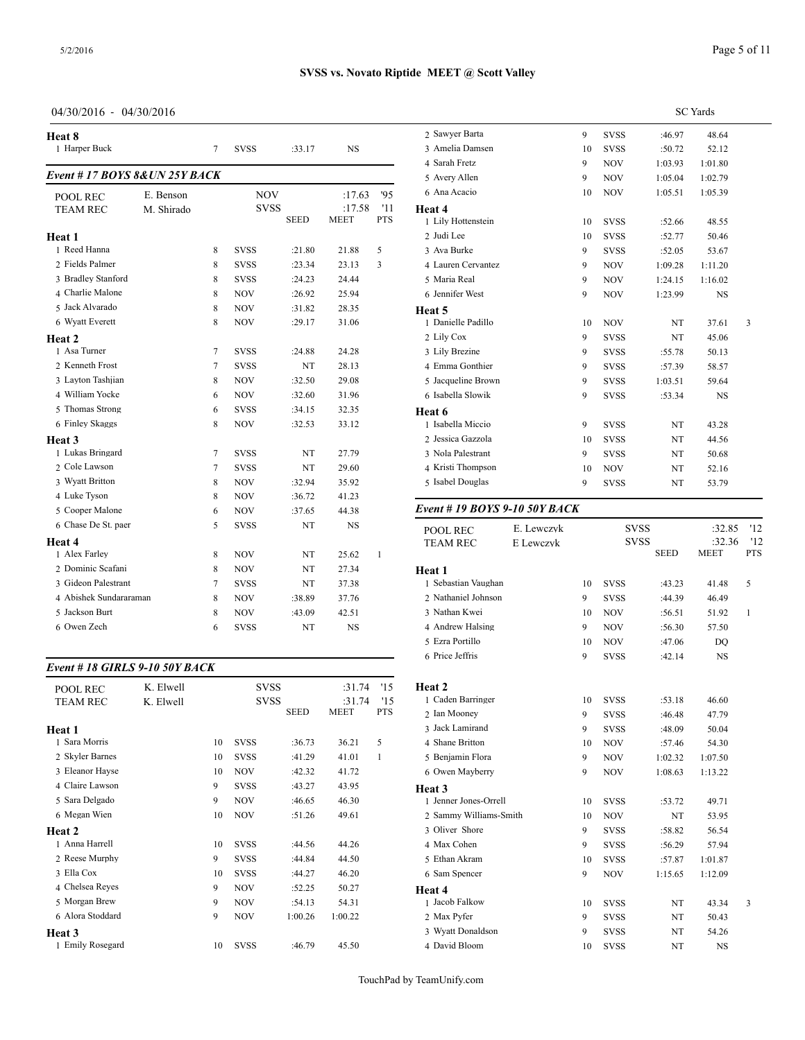04/30/2016 - 04/30/2016

| Heat 8<br>1 Harper Buck                                   |                         | 7           | <b>SVSS</b>                              | :33.17                     | <b>NS</b>                       |                          | 2 Sawver Barta<br>3 Amelia Damsen<br>4 Sarah Fretz   |
|-----------------------------------------------------------|-------------------------|-------------|------------------------------------------|----------------------------|---------------------------------|--------------------------|------------------------------------------------------|
| Event #17 BOYS 8& UN 25Y BACK                             |                         |             |                                          |                            |                                 |                          | 5 Avery Allen                                        |
| POOL REC<br><b>TEAM REC</b>                               | E. Benson<br>M. Shirado |             | <b>NOV</b><br><b>SVSS</b>                | <b>SEED</b>                | :17.63<br>:17.58<br><b>MEET</b> | '95<br>'11<br><b>PTS</b> | 6 Ana Acacio<br>Heat 4<br>1 Lily Hottenstein         |
| Heat 1<br>1 Reed Hanna                                    |                         | 8           | <b>SVSS</b>                              | :21.80                     | 21.88                           | 5                        | 2 Judi Lee<br>3 Ava Burke                            |
| 2 Fields Palmer<br>3 Bradley Stanford<br>4 Charlie Malone |                         | 8<br>8<br>8 | <b>SVSS</b><br><b>SVSS</b><br><b>NOV</b> | :23.34<br>:24.23<br>:26.92 | 23.13<br>24.44<br>25.94         | 3                        | 4 Lauren Cervante<br>5 Maria Real<br>6 Jennifer West |
| 5 Jack Alvarado<br>6 Wyatt Everett                        |                         | 8<br>8      | <b>NOV</b><br><b>NOV</b>                 | :31.82<br>:29.17           | 28.35<br>31.06                  |                          | Heat 5<br>1 Danielle Padillo                         |
| Heat 2<br>1 Asa Turner                                    |                         | $\tau$      | <b>SVSS</b>                              | :24.88                     | 24.28                           |                          | 2 Lily Cox<br>3 Lily Brezine                         |
| 2 Kenneth Frost<br>3 Layton Tashjian                      |                         | $\tau$<br>8 | <b>SVSS</b><br><b>NOV</b>                | NT<br>:32.50               | 28.13<br>29.08                  |                          | 4 Emma Gonthier<br>5 Jacqueline Brow                 |
| 4 William Yocke<br>5 Thomas Strong                        |                         | 6<br>6      | <b>NOV</b><br><b>SVSS</b>                | :32.60<br>:34.15           | 31.96<br>32.35                  |                          | 6 Isabella Slowik<br>Heat 6                          |
| 6 Finley Skaggs<br>Heat 3                                 |                         | 8           | <b>NOV</b>                               | :32.53                     | 33.12                           |                          | 1 Isabella Miccio<br>2 Jessica Gazzola               |
| 1 Lukas Bringard<br>2 Cole Lawson                         |                         | 7<br>$\tau$ | <b>SVSS</b><br><b>SVSS</b>               | NT<br>NT                   | 27.79<br>29.60                  |                          | 3 Nola Palestrant<br>4 Kristi Thompson               |
| 3 Wyatt Britton<br>4 Luke Tyson                           |                         | 8<br>8      | <b>NOV</b><br><b>NOV</b>                 | :32.94<br>:36.72           | 35.92<br>41.23                  |                          | 5 Isabel Douglas                                     |
| 5 Cooper Malone<br>6 Chase De St. paer                    |                         | 6<br>5      | <b>NOV</b><br><b>SVSS</b>                | :37.65<br>NT               | 44.38<br>NS.                    |                          | Event # 19 $BOY$<br>POOL REC                         |
| Heat 4<br>1 Alex Farley                                   |                         | 8           | <b>NOV</b>                               | NT                         | 25.62                           | 1                        | <b>TEAM REC</b>                                      |
| 2 Dominic Scafani<br>3 Gideon Palestrant                  |                         | 8<br>7      | <b>NOV</b><br><b>SVSS</b>                | NT<br>NT                   | 27.34<br>37.38                  |                          | Heat 1<br>1 Sebastian Vaugh                          |
| 4 Abishek Sundararaman<br>5 Jackson Burt                  |                         | 8<br>8      | <b>NOV</b><br><b>NOV</b>                 | :38.89<br>:43.09           | 37.76<br>42.51                  |                          | 2 Nathaniel Johns<br>3 Nathan Kwei                   |
| 6 Owen Zech                                               |                         | 6           | <b>SVSS</b>                              | NT                         | NS                              |                          | 4 Andrew Halsing                                     |

# *Event # 18 GIRLS 9-10 50Y BACK*

| <b>POOL REC</b>  | K. Elwell |    | <b>SVSS</b> |             | :31.74      | '15        | <b>Heat 2</b>     |
|------------------|-----------|----|-------------|-------------|-------------|------------|-------------------|
| <b>TEAM REC</b>  | K. Elwell |    | <b>SVSS</b> |             | :31.74      | '15        | 1 Caden Barringer |
|                  |           |    |             | <b>SEED</b> | <b>MEET</b> | <b>PTS</b> | 2 Ian Mooney      |
| <b>Heat 1</b>    |           |    |             |             |             |            | 3 Jack Lamirand   |
| 1 Sara Morris    |           | 10 | <b>SVSS</b> | :36.73      | 36.21       | 5          | 4 Shane Britton   |
| 2 Skyler Barnes  |           | 10 | <b>SVSS</b> | :41.29      | 41.01       | 1          | 5 Benjamin Flora  |
| 3 Eleanor Hayse  |           | 10 | <b>NOV</b>  | :42.32      | 41.72       |            | 6 Owen Mayberry   |
| 4 Claire Lawson  |           | 9  | <b>SVSS</b> | :43.27      | 43.95       |            | Heat 3            |
| 5 Sara Delgado   |           | 9  | <b>NOV</b>  | :46.65      | 46.30       |            | 1 Jenner Jones-Or |
| 6 Megan Wien     |           | 10 | <b>NOV</b>  | :51.26      | 49.61       |            | 2 Sammy William   |
| Heat 2           |           |    |             |             |             |            | 3 Oliver Shore    |
| 1 Anna Harrell   |           | 10 | <b>SVSS</b> | :44.56      | 44.26       |            | 4 Max Cohen       |
| 2 Reese Murphy   |           | 9  | <b>SVSS</b> | :44.84      | 44.50       |            | 5 Ethan Akram     |
| 3 Ella Cox       |           | 10 | <b>SVSS</b> | :44.27      | 46.20       |            | 6 Sam Spencer     |
| 4 Chelsea Reyes  |           | 9  | <b>NOV</b>  | :52.25      | 50.27       |            | Heat 4            |
| 5 Morgan Brew    |           | 9  | <b>NOV</b>  | :54.13      | 54.31       |            | 1 Jacob Falkow    |
| 6 Alora Stoddard |           | 9  | <b>NOV</b>  | 1:00.26     | 1:00.22     |            | 2 Max Pyfer       |
| Heat 3           |           |    |             |             |             |            | 3 Wyatt Donaldso  |
| 1 Emily Rosegard |           | 10 | <b>SVSS</b> | :46.79      | 45.50       |            | 4 David Bloom     |
|                  |           |    |             |             |             |            |                   |

|                    | <b>SC</b> Yards |             |         |           |   |  |  |  |  |
|--------------------|-----------------|-------------|---------|-----------|---|--|--|--|--|
| 2 Sawyer Barta     | 9               | <b>SVSS</b> | :46.97  | 48.64     |   |  |  |  |  |
| 3 Amelia Damsen    | 10              | <b>SVSS</b> | :50.72  | 52.12     |   |  |  |  |  |
| 4 Sarah Fretz      | 9               | <b>NOV</b>  | 1:03.93 | 1:01.80   |   |  |  |  |  |
| 5 Avery Allen      | 9               | <b>NOV</b>  | 1:05.04 | 1:02.79   |   |  |  |  |  |
| 6 Ana Acacio       | 10              | <b>NOV</b>  | 1:05.51 | 1:05.39   |   |  |  |  |  |
| Heat 4             |                 |             |         |           |   |  |  |  |  |
| 1 Lily Hottenstein | 10              | <b>SVSS</b> | :52.66  | 48.55     |   |  |  |  |  |
| 2 Judi Lee         | 10              | <b>SVSS</b> | :52.77  | 50.46     |   |  |  |  |  |
| 3 Ava Burke        | 9               | <b>SVSS</b> | :52.05  | 53.67     |   |  |  |  |  |
| 4 Lauren Cervantez | 9               | <b>NOV</b>  | 1:09.28 | 1:11.20   |   |  |  |  |  |
| 5 Maria Real       | 9               | <b>NOV</b>  | 1:24.15 | 1:16.02   |   |  |  |  |  |
| 6 Jennifer West    | 9               | <b>NOV</b>  | 1:23.99 | <b>NS</b> |   |  |  |  |  |
| Heat 5             |                 |             |         |           |   |  |  |  |  |
| 1 Danielle Padillo | 10              | <b>NOV</b>  | NT      | 37.61     | 3 |  |  |  |  |
| 2 Lily Cox         | 9               | <b>SVSS</b> | NT      | 45.06     |   |  |  |  |  |
| 3 Lily Brezine     | 9               | <b>SVSS</b> | :55.78  | 50.13     |   |  |  |  |  |
| 4 Emma Gonthier    | 9               | <b>SVSS</b> | :57.39  | 58.57     |   |  |  |  |  |
| 5 Jacqueline Brown | 9               | <b>SVSS</b> | 1:03.51 | 59.64     |   |  |  |  |  |
| 6 Isabella Slowik  | 9               | <b>SVSS</b> | :53.34  | NS        |   |  |  |  |  |
| Heat 6             |                 |             |         |           |   |  |  |  |  |
| 1 Isabella Miccio  | 9               | <b>SVSS</b> | NT      | 43.28     |   |  |  |  |  |
| 2 Jessica Gazzola  | 10              | <b>SVSS</b> | NT      | 44.56     |   |  |  |  |  |
| 3 Nola Palestrant  | 9               | <b>SVSS</b> | NT      | 50.68     |   |  |  |  |  |
| 4 Kristi Thompson  | 10              | <b>NOV</b>  | NT      | 52.16     |   |  |  |  |  |
| 5 Isabel Douglas   | 9               | <b>SVSS</b> | NT      | 53.79     |   |  |  |  |  |
|                    |                 |             |         |           |   |  |  |  |  |

# *Event # 19 BOYS 9-10 50Y BACK*

| <b>POOL REC</b>        | E. Lewczyk |    | <b>SVSS</b> |             | :32.85      | '12          |  |
|------------------------|------------|----|-------------|-------------|-------------|--------------|--|
| <b>TEAM REC</b>        | E Lewczyk  |    | <b>SVSS</b> |             | :32.36      | '12          |  |
|                        |            |    |             | <b>SEED</b> | <b>MEET</b> | <b>PTS</b>   |  |
| Heat 1                 |            |    |             |             |             |              |  |
| 1 Sebastian Vaughan    |            | 10 | <b>SVSS</b> | :43.23      | 41.48       | 5            |  |
| 2 Nathaniel Johnson    |            | 9  | <b>SVSS</b> | :44.39      | 46.49       |              |  |
| 3 Nathan Kwei          |            | 10 | <b>NOV</b>  | :56.51      | 51.92       | $\mathbf{1}$ |  |
| 4 Andrew Halsing       |            | 9  | <b>NOV</b>  | :56.30      | 57.50       |              |  |
| 5 Ezra Portillo        |            | 10 | <b>NOV</b>  | :47.06      | DO          |              |  |
| 6 Price Jeffris        |            | 9  | <b>SVSS</b> | :42.14      | <b>NS</b>   |              |  |
|                        |            |    |             |             |             |              |  |
| Heat 2                 |            |    |             |             |             |              |  |
| 1 Caden Barringer      |            | 10 | <b>SVSS</b> | :53.18      | 46.60       |              |  |
| 2 Ian Mooney           |            | 9  | <b>SVSS</b> | :46.48      | 47.79       |              |  |
| 3 Jack Lamirand        |            | 9  | <b>SVSS</b> | :48.09      | 50.04       |              |  |
| 4 Shane Britton        |            | 10 | <b>NOV</b>  | :57.46      | 54.30       |              |  |
| 5 Benjamin Flora       |            | 9  | <b>NOV</b>  | 1:02.32     | 1:07.50     |              |  |
| 6 Owen Mayberry        |            | 9  | <b>NOV</b>  | 1:08.63     | 1:13.22     |              |  |
| Heat 3                 |            |    |             |             |             |              |  |
| 1 Jenner Jones-Orrell  |            | 10 | <b>SVSS</b> | :53.72      | 49.71       |              |  |
| 2 Sammy Williams-Smith |            | 10 | <b>NOV</b>  | NT          | 53.95       |              |  |
| 3 Oliver Shore         |            | 9  | <b>SVSS</b> | :58.82      | 56.54       |              |  |
| 4 Max Cohen            |            | 9  | <b>SVSS</b> | :56.29      | 57.94       |              |  |
| 5 Ethan Akram          |            | 10 | <b>SVSS</b> | :57.87      | 1:01.87     |              |  |
| 6 Sam Spencer          |            | 9  | <b>NOV</b>  | 1:15.65     | 1:12.09     |              |  |
| Heat 4                 |            |    |             |             |             |              |  |
| 1 Jacob Falkow         |            | 10 | <b>SVSS</b> | NT          | 43.34       | 3            |  |
| 2 Max Pyfer            |            | 9  | <b>SVSS</b> | NT          | 50.43       |              |  |
| 3 Wyatt Donaldson      |            | 9  | <b>SVSS</b> | NT          | 54.26       |              |  |
| 4 David Bloom          |            | 10 | <b>SVSS</b> | NT          | <b>NS</b>   |              |  |
|                        |            |    |             |             |             |              |  |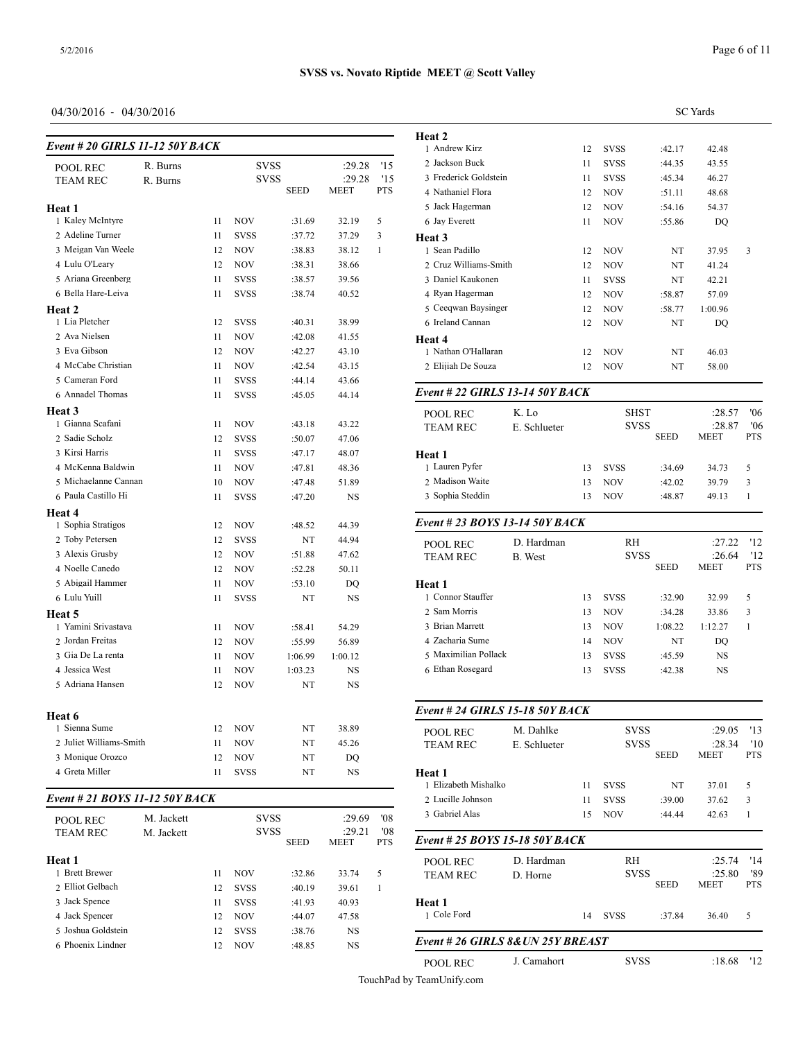# 04/30/2016 - 04/30/2016

| Event # 20 GIRLS 11-12 50Y BACK    |            |          |             |                   |                  |     | Heat 2<br>1 Andrew Kirz     |
|------------------------------------|------------|----------|-------------|-------------------|------------------|-----|-----------------------------|
| POOL REC                           | R. Burns   |          | SVSS        |                   | :29.28           | '15 | 2 Jackson Buck              |
| <b>TEAM REC</b>                    | R. Burns   |          | <b>SVSS</b> |                   | :29.28           | '15 | 3 Frederick Golds           |
|                                    |            |          |             | <b>SEED</b>       | MEET             | PTS | 4 Nathaniel Flora           |
| Heat 1                             |            |          |             |                   |                  |     | 5 Jack Hagerman             |
| 1 Kaley McIntyre                   |            | 11       | NOV         | :31.69            | 32.19            | 5   | 6 Jay Everett               |
| 2 Adeline Turner                   |            | 11       | <b>SVSS</b> | :37.72            | 37.29            | 3   | Heat 3                      |
| 3 Meigan Van Weele                 |            | 12       | NOV         | :38.83            | 38.12            | 1   | 1 Sean Padillo              |
| 4 Lulu O'Leary                     |            | 12       | NOV         | :38.31            | 38.66            |     | 2 Cruz Williams-S           |
| 5 Ariana Greenberg                 |            | 11       | <b>SVSS</b> | :38.57            | 39.56            |     | 3 Daniel Kaukone            |
| 6 Bella Hare-Leiva                 |            | 11       | <b>SVSS</b> | :38.74            | 40.52            |     | 4 Ryan Hagerman             |
| Heat 2                             |            |          |             |                   |                  |     | 5 Ceeqwan Baysin            |
| 1 Lia Pletcher                     |            | 12       | <b>SVSS</b> | :40.31            | 38.99            |     | 6 Ireland Cannan            |
| 2 Ava Nielsen                      |            | 11       | NOV         | :42.08            | 41.55            |     | Heat 4                      |
| 3 Eva Gibson                       |            | 12       | NOV         | :42.27            | 43.10            |     | 1 Nathan O'Hallar           |
| 4 McCabe Christian                 |            | 11       | NOV         | :42.54            | 43.15            |     | 2 Elijiah De Souza          |
| 5 Cameran Ford                     |            | 11       | SVSS        | :44.14            | 43.66            |     |                             |
| 6 Annadel Thomas                   |            | 11       | <b>SVSS</b> | :45.05            | 44.14            |     | Event # 22 GIRI             |
| Heat 3                             |            |          |             |                   |                  |     | POOL REC                    |
| 1 Gianna Scafani                   |            | 11       | <b>NOV</b>  | :43.18            | 43.22            |     | TEAM REC                    |
| 2 Sadie Scholz                     |            | 12       | SVSS        | :50.07            | 47.06            |     |                             |
| 3 Kirsi Harris                     |            | 11       | SVSS        | :47.17            | 48.07            |     | Heat 1                      |
| 4 McKenna Baldwin                  |            | 11       | NOV         | :47.81            | 48.36            |     | 1 Lauren Pyfer              |
| 5 Michaelanne Cannan               |            | 10       | NOV         | :47.48            | 51.89            |     | 2 Madison Waite             |
| 6 Paula Castillo Hi                |            | 11       | <b>SVSS</b> | :47.20            | NS               |     | 3 Sophia Steddin            |
| Heat 4<br>1 Sophia Stratigos       |            |          |             |                   |                  |     | Event # 23 BOY              |
|                                    |            | 12       | NOV         | :48.52            | 44.39            |     |                             |
| 2 Toby Petersen                    |            | 12       | <b>SVSS</b> | NT                | 44.94            |     | POOL REC                    |
| 3 Alexis Grusby<br>4 Noelle Canedo |            | 12       | NOV         | :51.88            | 47.62            |     | TEAM REC                    |
| 5 Abigail Hammer                   |            | 12       | NOV         | :52.28            | 50.11            |     |                             |
| 6 Lulu Yuill                       |            | 11       | NOV         | :53.10            | DQ               |     | Heat 1<br>1 Connor Stauffer |
|                                    |            | 11       | <b>SVSS</b> | NT                | <b>NS</b>        |     | 2 Sam Morris                |
| Heat 5<br>1 Yamini Srivastava      |            | 11       |             |                   |                  |     | 3 Brian Marrett             |
| 2 Jordan Freitas                   |            |          | NOV         | :58.41            | 54.29            |     | 4 Zacharia Sume             |
| 3 Gia De La renta                  |            | 12<br>11 | NOV<br>NOV  | :55.99<br>1:06.99 | 56.89<br>1:00.12 |     | 5 Maximilian Poll           |
| 4 Jessica West                     |            | 11       | <b>NOV</b>  | 1:03.23           | NS               |     | 6 Ethan Rosegard            |
| 5 Adriana Hansen                   |            | 12       | NOV         | NT                | NS               |     |                             |
|                                    |            |          |             |                   |                  |     |                             |
| Heat 6                             |            |          |             |                   |                  |     | Event # 24 GIRI             |
| 1 Sienna Sume                      |            | 12       | NOV         | NT                | 38.89            |     | POOL REC                    |
| 2 Juliet Williams-Smith            |            | 11       | NOV         | NT                | 45.26            |     | TEAM REC                    |
| 3 Monique Orozco                   |            | 12       | <b>NOV</b>  | NT                | DQ               |     |                             |
| 4 Greta Miller                     |            | 11       | SVSS        | NT                | NS               |     | Heat 1                      |
|                                    |            |          |             |                   |                  |     | 1 Elizabeth Misha           |
| Event # 21 BOYS 11-12 50Y BACK     |            |          |             |                   |                  |     | 2 Lucille Johnson           |
| POOL REC                           | M. Jackett |          | SVSS        |                   | :29.69           | '08 | 3 Gabriel Alas              |
| TEAM REC                           | M. Jackett |          | SVSS        |                   | :29.21           | '08 |                             |
|                                    |            |          |             | <b>SEED</b>       | MEET             | PTS | Event # 25 $BOY$            |
| Heat 1                             |            |          |             |                   |                  |     | POOL REC                    |
| 1 Brett Brewer                     |            | 11       | NOV         | :32.86            | 33.74            | 5   | <b>TEAM REC</b>             |

| 04/30/2016 - 04/30/2016                |            |    |                            |             |                  |                   |                                    |              |    |             |             | <b>SC</b> Yards |                         |
|----------------------------------------|------------|----|----------------------------|-------------|------------------|-------------------|------------------------------------|--------------|----|-------------|-------------|-----------------|-------------------------|
| <b>Event # 20 GIRLS 11-12 50Y BACK</b> |            |    |                            |             |                  |                   | Heat 2<br>1 Andrew Kirz            |              | 12 | <b>SVSS</b> | :42.17      | 42.48           |                         |
|                                        |            |    |                            |             |                  |                   | 2 Jackson Buck                     |              | 11 | <b>SVSS</b> | :44.35      | 43.55           |                         |
| POOL REC                               | R. Burns   |    | <b>SVSS</b><br><b>SVSS</b> |             | :29.28<br>:29.28 | '15<br>'15        | 3 Frederick Goldstein              |              | 11 | <b>SVSS</b> | :45.34      | 46.27           |                         |
| TEAM REC                               | R. Burns   |    |                            | <b>SEED</b> | MEET             | <b>PTS</b>        | 4 Nathaniel Flora                  |              | 12 | <b>NOV</b>  | :51.11      | 48.68           |                         |
| leat 1                                 |            |    |                            |             |                  |                   | 5 Jack Hagerman                    |              | 12 | NOV         | :54.16      | 54.37           |                         |
| 1 Kaley McIntyre                       |            | 11 | <b>NOV</b>                 | :31.69      | 32.19            | 5                 | 6 Jay Everett                      |              | 11 | <b>NOV</b>  | :55.86      | DQ              |                         |
| 2 Adeline Turner                       |            | 11 | <b>SVSS</b>                | :37.72      | 37.29            | 3                 |                                    |              |    |             |             |                 |                         |
| 3 Meigan Van Weele                     |            | 12 | <b>NOV</b>                 | :38.83      | 38.12            | 1                 | Heat 3<br>1 Sean Padillo           |              | 12 | <b>NOV</b>  | NT          | 37.95           | $\overline{\mathbf{3}}$ |
| 4 Lulu O'Leary                         |            | 12 | <b>NOV</b>                 | :38.31      | 38.66            |                   | 2 Cruz Williams-Smith              |              | 12 | <b>NOV</b>  | NT          | 41.24           |                         |
| 5 Ariana Greenberg                     |            | 11 | <b>SVSS</b>                | :38.57      | 39.56            |                   | 3 Daniel Kaukonen                  |              | 11 | <b>SVSS</b> | NT          | 42.21           |                         |
| 6 Bella Hare-Leiva                     |            | 11 | <b>SVSS</b>                | :38.74      | 40.52            |                   | 4 Ryan Hagerman                    |              | 12 | <b>NOV</b>  | :58.87      | 57.09           |                         |
| leat 2                                 |            |    |                            |             |                  |                   | 5 Ceeqwan Baysinger                |              | 12 | <b>NOV</b>  | :58.77      | 1:00.96         |                         |
| 1 Lia Pletcher                         |            | 12 | <b>SVSS</b>                | :40.31      | 38.99            |                   | 6 Ireland Cannan                   |              | 12 | NOV         | NT          | DQ              |                         |
| 2 Ava Nielsen                          |            | 11 | <b>NOV</b>                 | :42.08      | 41.55            |                   | Heat 4                             |              |    |             |             |                 |                         |
| 3 Eva Gibson                           |            | 12 | <b>NOV</b>                 | :42.27      | 43.10            |                   | 1 Nathan O'Hallaran                |              | 12 | NOV         | NT          | 46.03           |                         |
| 4 McCabe Christian                     |            | 11 | <b>NOV</b>                 | :42.54      | 43.15            |                   | 2 Elijiah De Souza                 |              | 12 | NOV         | NT          | 58.00           |                         |
| 5 Cameran Ford                         |            | 11 | <b>SVSS</b>                | :44.14      | 43.66            |                   |                                    |              |    |             |             |                 |                         |
| 6 Annadel Thomas                       |            | 11 | <b>SVSS</b>                | :45.05      | 44.14            |                   | Event # 22 GIRLS 13-14 50Y BACK    |              |    |             |             |                 |                         |
| leat 3                                 |            |    |                            |             |                  |                   |                                    | K. Lo        |    | <b>SHST</b> |             | :28.57          | '06                     |
| 1 Gianna Scafani                       |            | 11 | <b>NOV</b>                 | :43.18      | 43.22            |                   | <b>POOL REC</b><br><b>TEAM REC</b> | E. Schlueter |    | <b>SVSS</b> |             | :28.87          | '06                     |
| 2 Sadie Scholz                         |            | 12 | <b>SVSS</b>                | :50.07      | 47.06            |                   |                                    |              |    |             | <b>SEED</b> | MEET            | <b>PTS</b>              |
| 3 Kirsi Harris                         |            | 11 | <b>SVSS</b>                | :47.17      | 48.07            |                   | Heat 1                             |              |    |             |             |                 |                         |
| 4 McKenna Baldwin                      |            | 11 | <b>NOV</b>                 | :47.81      | 48.36            |                   | 1 Lauren Pyfer                     |              | 13 | <b>SVSS</b> | :34.69      | 34.73           | 5                       |
| 5 Michaelanne Cannan                   |            | 10 | <b>NOV</b>                 | :47.48      | 51.89            |                   | 2 Madison Waite                    |              | 13 | <b>NOV</b>  | :42.02      | 39.79           | 3                       |
| 6 Paula Castillo Hi                    |            | 11 | <b>SVSS</b>                | :47.20      | NS               |                   | 3 Sophia Steddin                   |              | 13 | NOV         | :48.87      | 49.13           | -1                      |
| leat 4                                 |            |    |                            |             |                  |                   |                                    |              |    |             |             |                 |                         |
| 1 Sophia Stratigos                     |            | 12 | <b>NOV</b>                 | :48.52      | 44.39            |                   | Event # 23 BOYS 13-14 50Y BACK     |              |    |             |             |                 |                         |
| 2 Toby Petersen                        |            | 12 | <b>SVSS</b>                | NT          | 44.94            |                   | POOL REC                           | D. Hardman   |    | RH          |             | :27.22          | '12                     |
| 3 Alexis Grusby                        |            | 12 | <b>NOV</b>                 | :51.88      | 47.62            |                   | <b>TEAM REC</b>                    | B. West      |    | <b>SVSS</b> |             | :26.64          | '12                     |
| 4 Noelle Canedo                        |            | 12 | <b>NOV</b>                 | :52.28      | 50.11            |                   |                                    |              |    |             | <b>SEED</b> | <b>MEET</b>     | <b>PTS</b>              |
| 5 Abigail Hammer                       |            | 11 | <b>NOV</b>                 | :53.10      | DQ               |                   | Heat 1                             |              |    |             |             |                 |                         |
| 6 Lulu Yuill                           |            | 11 | <b>SVSS</b>                | NT          | NS               |                   | 1 Connor Stauffer                  |              | 13 | <b>SVSS</b> | :32.90      | 32.99           | 5                       |
| leat 5                                 |            |    |                            |             |                  |                   | 2 Sam Morris                       |              | 13 | <b>NOV</b>  | :34.28      | 33.86           | 3                       |
| 1 Yamini Srivastava                    |            | 11 | <b>NOV</b>                 | :58.41      | 54.29            |                   | 3 Brian Marrett                    |              | 13 | <b>NOV</b>  | 1:08.22     | 1:12.27         | 1                       |
| 2 Jordan Freitas                       |            | 12 | <b>NOV</b>                 | :55.99      | 56.89            |                   | 4 Zacharia Sume                    |              | 14 | <b>NOV</b>  | NT          | DQ              |                         |
| 3 Gia De La renta                      |            | 11 | <b>NOV</b>                 | 1:06.99     | 1:00.12          |                   | 5 Maximilian Pollack               |              | 13 | <b>SVSS</b> | :45.59      | NS              |                         |
| 4 Jessica West                         |            | 11 | <b>NOV</b>                 | 1:03.23     | NS               |                   | 6 Ethan Rosegard                   |              | 13 | <b>SVSS</b> | :42.38      | NS              |                         |
| 5 Adriana Hansen                       |            |    | 12 NOV                     | NT          | NS               |                   |                                    |              |    |             |             |                 |                         |
|                                        |            |    |                            |             |                  |                   | Event # 24 GIRLS 15-18 50Y BACK    |              |    |             |             |                 |                         |
| leat 6<br>1 Sienna Sume                |            | 12 | <b>NOV</b>                 | NT          | 38.89            |                   |                                    | M. Dahlke    |    | <b>SVSS</b> |             | :29.05          | '13                     |
| 2 Juliet Williams-Smith                |            | 11 | <b>NOV</b>                 | NT          | 45.26            |                   | POOL REC<br><b>TEAM REC</b>        | E. Schlueter |    | <b>SVSS</b> |             | :28.34          | '10                     |
| 3 Monique Orozco                       |            | 12 | <b>NOV</b>                 | NT          | DQ               |                   |                                    |              |    |             | <b>SEED</b> | <b>MEET</b>     | <b>PTS</b>              |
| 4 Greta Miller                         |            | 11 | SVSS                       | NT          | NS               |                   | Heat 1                             |              |    |             |             |                 |                         |
|                                        |            |    |                            |             |                  |                   | 1 Elizabeth Mishalko               |              | 11 | <b>SVSS</b> | NT          | 37.01           | 5                       |
| vent # 21 BOYS 11-12 50Y BACK          |            |    |                            |             |                  |                   | 2 Lucille Johnson                  |              | 11 | <b>SVSS</b> | :39.00      | 37.62           | 3                       |
| POOL REC                               | M. Jackett |    | <b>SVSS</b>                |             | :29.69           | '08               | 3 Gabriel Alas                     |              | 15 | <b>NOV</b>  | :44.44      | 42.63           | -1                      |
| <b>TEAM REC</b>                        | M. Jackett |    | <b>SVSS</b>                | <b>SEED</b> | :29.21<br>MEET   | '08<br><b>PTS</b> | Event # 25 BOYS 15-18 50Y BACK     |              |    |             |             |                 |                         |
| leat 1                                 |            |    |                            |             |                  |                   |                                    | D. Hardman   |    | RH          |             | :25.74          | '14                     |
| 1 Brett Brewer                         |            | 11 | <b>NOV</b>                 | :32.86      | 33.74            | 5                 | POOL REC<br><b>TEAM REC</b>        | D. Horne     |    | <b>SVSS</b> |             | :25.80          | '89                     |
| 2 Elliot Gelbach                       |            | 12 | <b>SVSS</b>                | :40.19      | 39.61            | $\mathbf{1}$      |                                    |              |    |             | <b>SEED</b> | <b>MEET</b>     | <b>PTS</b>              |
| 3 Jack Spence                          |            | 11 | <b>SVSS</b>                | :41.93      | 40.93            |                   | Heat 1                             |              |    |             |             |                 |                         |
| 4 Jack Spencer                         |            | 12 | <b>NOV</b>                 | :44.07      | 47.58            |                   | 1 Cole Ford                        |              | 14 | SVSS        | :37.84      | 36.40           | 5                       |
| 5 Joshua Goldstein                     |            | 12 | <b>SVSS</b>                | :38.76      | NS               |                   |                                    |              |    |             |             |                 |                         |
| 6 Phoenix Lindner                      |            | 12 | <b>NOV</b>                 | :48.85      | NS               |                   | Event # 26 GIRLS 8& UN 25Y BREAST  |              |    |             |             |                 |                         |
|                                        |            |    |                            |             |                  |                   |                                    |              |    |             |             |                 |                         |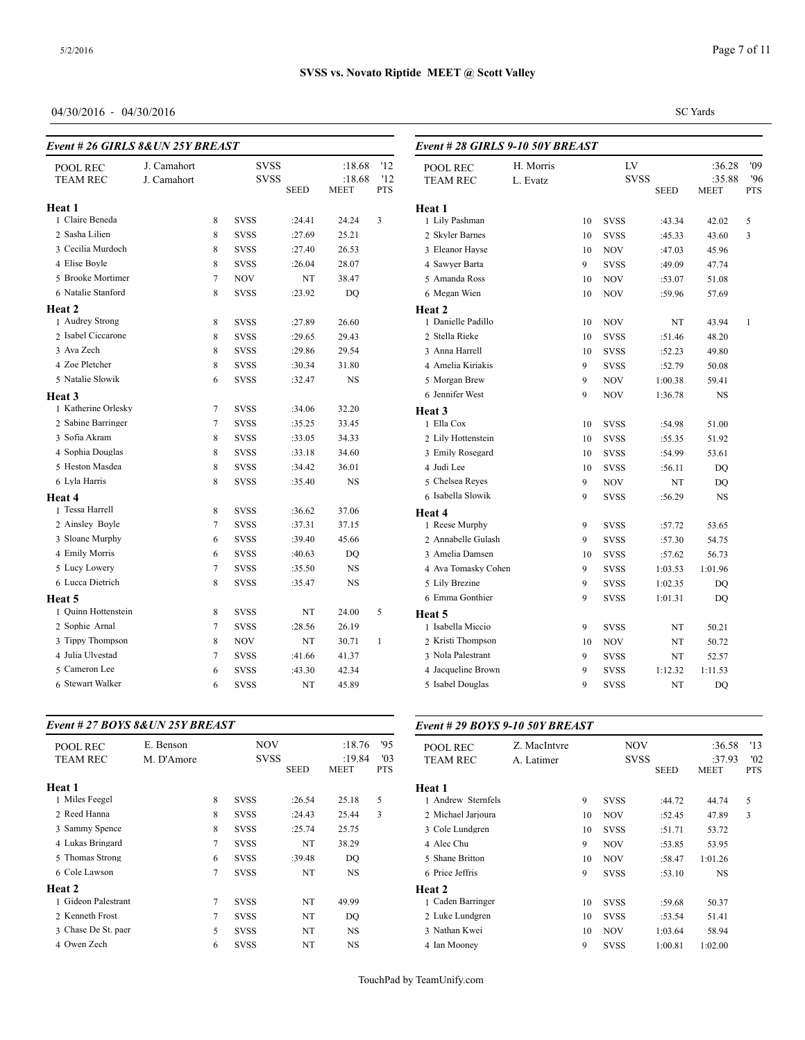*Event # 28 GIRLS 9-10 50Y BREAST*

# 04/30/2016 - 04/30/2016

| Event # 26 GIRLS 8& UN 25Y BREAST |  |
|-----------------------------------|--|
|                                   |  |

| POOL REC            | J. Camahort |        | <b>SVSS</b> |             | :18.68                | '12               | POOL REC           |
|---------------------|-------------|--------|-------------|-------------|-----------------------|-------------------|--------------------|
| <b>TEAM REC</b>     | J. Camahort |        | <b>SVSS</b> | <b>SEED</b> | :18.68<br><b>MEET</b> | '12<br><b>PTS</b> | <b>TEAM REC</b>    |
| Heat 1              |             |        |             |             |                       |                   | Heat 1             |
| 1 Claire Beneda     |             | 8      | <b>SVSS</b> | :24.41      | 24.24                 | 3                 | 1 Lily Pashman     |
| 2 Sasha Lilien      |             | 8      | <b>SVSS</b> | :27.69      | 25.21                 |                   | 2 Skyler Barnes    |
| 3 Cecilia Murdoch   |             | 8      | <b>SVSS</b> | :27.40      | 26.53                 |                   | 3 Eleanor Hayse    |
| 4 Elise Boyle       |             | 8      | <b>SVSS</b> | :26.04      | 28.07                 |                   | 4 Sawyer Barta     |
| 5 Brooke Mortimer   |             | $\tau$ | <b>NOV</b>  | NT          | 38.47                 |                   | 5 Amanda Ross      |
| 6 Natalie Stanford  |             | 8      | <b>SVSS</b> | :23.92      | DQ                    |                   | 6 Megan Wien       |
| Heat 2              |             |        |             |             |                       |                   | Heat 2             |
| 1 Audrey Strong     |             | 8      | <b>SVSS</b> | :27.89      | 26.60                 |                   | 1 Danielle Padillo |
| 2 Isabel Ciccarone  |             | 8      | <b>SVSS</b> | :29.65      | 29.43                 |                   | 2 Stella Rieke     |
| 3 Ava Zech          |             | 8      | <b>SVSS</b> | :29.86      | 29.54                 |                   | 3 Anna Harrell     |
| 4 Zoe Pletcher      |             | 8      | <b>SVSS</b> | :30.34      | 31.80                 |                   | 4 Amelia Kiriakis  |
| 5 Natalie Slowik    |             | 6      | <b>SVSS</b> | :32.47      | NS.                   |                   | 5 Morgan Brew      |
| Heat 3              |             |        |             |             |                       |                   | 6 Jennifer West    |
| 1 Katherine Orlesky |             | $\tau$ | <b>SVSS</b> | :34.06      | 32.20                 |                   | Heat 3             |
| 2 Sabine Barringer  |             | $\tau$ | <b>SVSS</b> | :35.25      | 33.45                 |                   | 1 Ella Cox         |
| 3 Sofia Akram       |             | 8      | <b>SVSS</b> | :33.05      | 34.33                 |                   | 2 Lily Hottenstein |
| 4 Sophia Douglas    |             | 8      | <b>SVSS</b> | :33.18      | 34.60                 |                   | 3 Emily Rosegard   |
| 5 Heston Masdea     |             | 8      | <b>SVSS</b> | :34.42      | 36.01                 |                   | 4 Judi Lee         |
| 6 Lyla Harris       |             | 8      | <b>SVSS</b> | :35.40      | <b>NS</b>             |                   | 5 Chelsea Reyes    |
| Heat 4              |             |        |             |             |                       |                   | 6 Isabella Slowik  |
| 1 Tessa Harrell     |             | 8      | <b>SVSS</b> | :36.62      | 37.06                 |                   | Heat 4             |
| 2 Ainsley Boyle     |             | $\tau$ | <b>SVSS</b> | :37.31      | 37.15                 |                   | 1 Reese Murphy     |
| 3 Sloane Murphy     |             | 6      | <b>SVSS</b> | :39.40      | 45.66                 |                   | 2 Annabelle Gulas  |
| 4 Emily Morris      |             | 6      | <b>SVSS</b> | :40.63      | DQ                    |                   | 3 Amelia Damsen    |
| 5 Lucy Lowery       |             | $\tau$ | <b>SVSS</b> | :35.50      | NS                    |                   | 4 Ava Tomasky C    |
| 6 Lucca Dietrich    |             | 8      | <b>SVSS</b> | :35.47      | NS                    |                   | 5 Lily Brezine     |
| Heat 5              |             |        |             |             |                       |                   | 6 Emma Gonthier    |
| 1 Ouinn Hottenstein |             | 8      | <b>SVSS</b> | NT          | 24.00                 | 5                 | Heat 5             |
| 2 Sophie Arnal      |             | 7      | <b>SVSS</b> | :28.56      | 26.19                 |                   | 1 Isabella Miccio  |
| 3 Tippy Thompson    |             | 8      | <b>NOV</b>  | NT          | 30.71                 | $\mathbf{1}$      | 2 Kristi Thompson  |
| 4 Julia Ulvestad    |             | $\tau$ | <b>SVSS</b> | :41.66      | 41.37                 |                   | 3 Nola Palestrant  |
| 5 Cameron Lee       |             | 6      | <b>SVSS</b> | :43.30      | 42.34                 |                   | 4 Jacqueline Brow  |
| 6 Stewart Walker    |             | 6      | <b>SVSS</b> | NT          | 45.89                 |                   | 5 Isabel Douglas   |
|                     |             |        |             |             |                       |                   |                    |

#### *Event # 27 BOYS 8&UN 25Y BREAST*

| <b>POOL REC</b>    |
|--------------------|
| <b>TEAM REC</b>    |
|                    |
| Heat 1             |
| 1 Andrew Sternfe   |
| 2 Michael Jarjoura |
| 3 Cole Lundgren    |
| 4 Alec Chu         |
| 5 Shane Britton    |
| 6 Price Jeffris    |
| Heat 2             |
| 1 Caden Barringer  |
| 2 Luke Lundgren    |
| 3 Nathan Kwei      |
| 4 Ian Mooney       |
|                    |

| POOL REC            | H. Morris |    | LV          | :36.28      | '09         |              |
|---------------------|-----------|----|-------------|-------------|-------------|--------------|
| <b>TEAM REC</b>     | L. Evatz  |    | <b>SVSS</b> |             | :35.88      | '96          |
|                     |           |    |             | <b>SEED</b> | <b>MEET</b> | <b>PTS</b>   |
| Heat 1              |           |    |             |             |             |              |
| 1 Lily Pashman      |           | 10 | <b>SVSS</b> | :43.34      | 42.02       | 5            |
| 2 Skyler Barnes     |           | 10 | <b>SVSS</b> | :45.33      | 43.60       | 3            |
| 3 Eleanor Hayse     |           | 10 | <b>NOV</b>  | :47.03      | 45.96       |              |
| 4 Sawyer Barta      |           | 9  | <b>SVSS</b> | :49.09      | 47.74       |              |
| 5 Amanda Ross       |           | 10 | NOV         | :53.07      | 51.08       |              |
| 6 Megan Wien        |           | 10 | NOV         | :59.96      | 57.69       |              |
| Heat 2              |           |    |             |             |             |              |
| 1 Danielle Padillo  |           | 10 | <b>NOV</b>  | NT          | 43.94       | $\mathbf{1}$ |
| 2 Stella Rieke      |           | 10 | SVSS        | :51.46      | 48.20       |              |
| 3 Anna Harrell      |           | 10 | <b>SVSS</b> | :52.23      | 49.80       |              |
| 4 Amelia Kiriakis   |           | 9  | <b>SVSS</b> | :52.79      | 50.08       |              |
| 5 Morgan Brew       |           | 9  | NOV         | 1:00.38     | 59.41       |              |
| 6 Jennifer West     |           | 9  | NOV         | 1:36.78     | NS          |              |
| Heat 3              |           |    |             |             |             |              |
| 1 Ella Cox          |           | 10 | <b>SVSS</b> | :54.98      | 51.00       |              |
| 2 Lily Hottenstein  |           | 10 | <b>SVSS</b> | :55.35      | 51.92       |              |
| 3 Emily Rosegard    |           | 10 | SVSS        | :54.99      | 53.61       |              |
| 4 Judi Lee          |           | 10 | SVSS        | :56.11      | DQ          |              |
| 5 Chelsea Reyes     |           | 9  | NOV         | NT          | DQ          |              |
| 6 Isabella Slowik   |           | 9  | <b>SVSS</b> | :56.29      | NS          |              |
| Heat 4              |           |    |             |             |             |              |
| 1 Reese Murphy      |           | 9  | <b>SVSS</b> | :57.72      | 53.65       |              |
| 2 Annabelle Gulash  |           | 9  | <b>SVSS</b> | :57.30      | 54.75       |              |
| 3 Amelia Damsen     |           | 10 | <b>SVSS</b> | :57.62      | 56.73       |              |
| 4 Ava Tomasky Cohen |           | 9  | <b>SVSS</b> | 1:03.53     | 1:01.96     |              |
| 5 Lily Brezine      |           | 9  | <b>SVSS</b> | 1:02.35     | DQ          |              |
| 6 Emma Gonthier     |           | 9  | <b>SVSS</b> | 1:01.31     | DQ          |              |
| Heat 5              |           |    |             |             |             |              |
| 1 Isabella Miccio   |           | 9  | <b>SVSS</b> | NT          | 50.21       |              |
| 2 Kristi Thompson   |           | 10 | <b>NOV</b>  | NT          | 50.72       |              |
| 3 Nola Palestrant   |           | 9  | <b>SVSS</b> | NT          | 52.57       |              |
| 4 Jacqueline Brown  |           | 9  | <b>SVSS</b> | 1:12.32     | 1:11.53     |              |
| 5 Isabel Douglas    |           | 9  | <b>SVSS</b> | NT          | DQ          |              |

*Event # 29 BOYS 9-10 50Y BREAST*

| <b>POOL REC</b>    | Z. MacIntyre |    | <b>NOV</b>  | :36.58      | '13         |            |
|--------------------|--------------|----|-------------|-------------|-------------|------------|
| <b>TEAM REC</b>    | A. Latimer   |    | <b>SVSS</b> |             | :37.93      | '02        |
|                    |              |    |             | <b>SEED</b> | <b>MEET</b> | <b>PTS</b> |
| Heat 1             |              |    |             |             |             |            |
| 1 Andrew Sternfels |              | 9  | <b>SVSS</b> | :44.72      | 44.74       | 5          |
| 2 Michael Jarjoura |              | 10 | <b>NOV</b>  | :52.45      | 47.89       | 3          |
| 3 Cole Lundgren    |              | 10 | <b>SVSS</b> | :51.71      | 53.72       |            |
| 4 Alec Chu         |              | 9  | <b>NOV</b>  | :53.85      | 53.95       |            |
| 5 Shane Britton    |              | 10 | <b>NOV</b>  | :58.47      | 1:01.26     |            |
| 6 Price Jeffris    |              | 9  | <b>SVSS</b> | :53.10      | <b>NS</b>   |            |
| Heat 2             |              |    |             |             |             |            |
| 1 Caden Barringer  |              | 10 | <b>SVSS</b> | :59.68      | 50.37       |            |
| 2 Luke Lundgren    |              | 10 | <b>SVSS</b> | :53.54      | 51.41       |            |
| 3 Nathan Kwei      |              | 10 | <b>NOV</b>  | 1:03.64     | 58.94       |            |
| 4 Ian Mooney       |              | 9  | <b>SVSS</b> | 1:00.81     | 1:02.00     |            |

SC Yards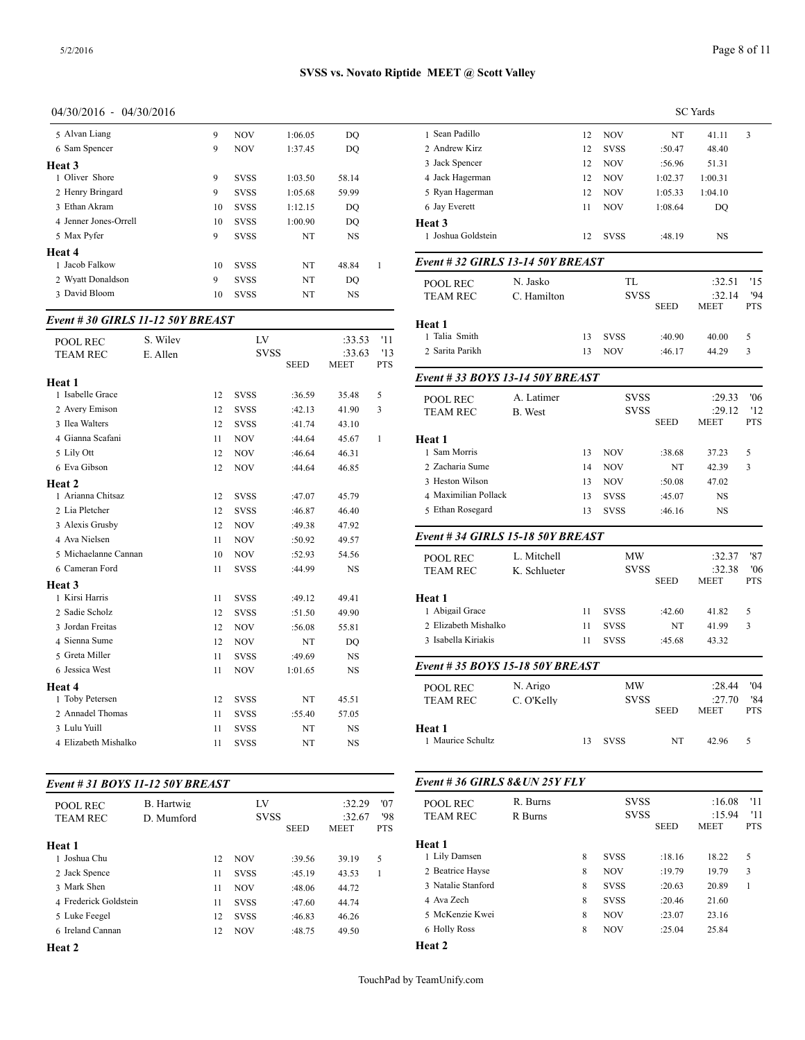#### 04/30/2016 - 04/30/2016

| 5 Alvan Liang         | 9  | <b>NOV</b>  | 1:06.05 | DO        | 1 Sean Padillo   |
|-----------------------|----|-------------|---------|-----------|------------------|
| 6 Sam Spencer         | 9  | <b>NOV</b>  | 1:37.45 | DO        | 2. Andrew Kirz   |
| Heat 3                |    |             |         |           | 3 Jack Spencer   |
| 1 Oliver Shore        | 9  | <b>SVSS</b> | 1:03.50 | 58.14     | 4 Jack Hagerma   |
| 2 Henry Bringard      | 9  | <b>SVSS</b> | 1:05.68 | 59.99     | 5 Ryan Hagerma   |
| 3 Ethan Akram         | 10 | <b>SVSS</b> | 1:12.15 | DO        | 6 Jay Everett    |
| 4 Jenner Jones-Orrell | 10 | <b>SVSS</b> | 1:00.90 | DO        | Heat 3           |
| 5 Max Pyfer           | 9  | <b>SVSS</b> | NT      | <b>NS</b> | 1 Joshua Goldst  |
| Heat 4                |    |             |         |           |                  |
| 1 Jacob Falkow        | 10 | <b>SVSS</b> | NT      | 48.84     | Event # $32$ GII |
| 2 Wyatt Donaldson     | 9  | <b>SVSS</b> | NT      | DO        | <b>POOL REC</b>  |
| 3 David Bloom         | 10 | <b>SVSS</b> | NT      | NS        | <b>TEAM REC</b>  |

### *Event # 30 GIRLS 11-12 50Y BREAST*

| <b>POOL REC</b>      | S. Wiley | LV |             |             | :33.53                | '11               | 1 Talia Smith<br>2 Sarita Parikh |
|----------------------|----------|----|-------------|-------------|-----------------------|-------------------|----------------------------------|
| <b>TEAM REC</b>      | E. Allen |    | <b>SVSS</b> | <b>SEED</b> | :33.63<br><b>MEET</b> | '13<br><b>PTS</b> |                                  |
| Heat 1               |          |    |             |             |                       |                   | Event #33 BOY                    |
| 1 Isabelle Grace     |          | 12 | <b>SVSS</b> | :36.59      | 35.48                 | 5                 | POOL REC                         |
| 2 Avery Emison       |          | 12 | <b>SVSS</b> | :42.13      | 41.90                 | 3                 | <b>TEAM REC</b>                  |
| 3 Ilea Walters       |          | 12 | <b>SVSS</b> | :41.74      | 43.10                 |                   |                                  |
| 4 Gianna Scafani     |          | 11 | <b>NOV</b>  | :44.64      | 45.67                 | $\mathbf{1}$      | Heat 1                           |
| 5 Lily Ott           |          | 12 | <b>NOV</b>  | :46.64      | 46.31                 |                   | 1 Sam Morris                     |
| 6 Eva Gibson         |          | 12 | <b>NOV</b>  | :44.64      | 46.85                 |                   | 2 Zacharia Sume                  |
| Heat 2               |          |    |             |             |                       |                   | 3 Heston Wilson                  |
| 1 Arianna Chitsaz    |          | 12 | <b>SVSS</b> | :47.07      | 45.79                 |                   | 4 Maximilian Poll                |
| 2 Lia Pletcher       |          | 12 | <b>SVSS</b> | :46.87      | 46.40                 |                   | 5 Ethan Rosegard                 |
| 3 Alexis Grusby      |          | 12 | <b>NOV</b>  | :49.38      | 47.92                 |                   |                                  |
| 4 Ava Nielsen        |          | 11 | <b>NOV</b>  | :50.92      | 49.57                 |                   | Event #34 GIRI                   |
| 5 Michaelanne Cannan |          | 10 | <b>NOV</b>  | :52.93      | 54.56                 |                   | <b>POOL REC</b>                  |
| 6 Cameran Ford       |          | 11 | <b>SVSS</b> | :44.99      | <b>NS</b>             |                   | <b>TEAM REC</b>                  |
| Heat 3               |          |    |             |             |                       |                   |                                  |
| 1 Kirsi Harris       |          | 11 | <b>SVSS</b> | :49.12      | 49.41                 |                   | Heat 1                           |
| 2 Sadie Scholz       |          | 12 | <b>SVSS</b> | :51.50      | 49.90                 |                   | 1 Abigail Grace                  |
| 3 Jordan Freitas     |          | 12 | <b>NOV</b>  | :56.08      | 55.81                 |                   | 2 Elizabeth Misha                |
| 4 Sienna Sume        |          | 12 | <b>NOV</b>  | NT          | DO                    |                   | 3 Isabella Kiriakis              |
| 5 Greta Miller       |          | 11 | <b>SVSS</b> | :49.69      | <b>NS</b>             |                   |                                  |
| 6 Jessica West       |          | 11 | <b>NOV</b>  | 1:01.65     | <b>NS</b>             |                   | Event # 35 $BOY$                 |
| Heat 4               |          |    |             |             |                       |                   | <b>POOL REC</b>                  |
| 1 Toby Petersen      |          | 12 | <b>SVSS</b> | NT          | 45.51                 |                   | <b>TEAM REC</b>                  |
| 2 Annadel Thomas     |          | 11 | <b>SVSS</b> | :55.40      | 57.05                 |                   |                                  |
| 3 Lulu Yuill         |          | 11 | <b>SVSS</b> | NT          | NS                    |                   | Heat 1                           |
| 4 Elizabeth Mishalko |          | 11 | <b>SVSS</b> | NT          | <b>NS</b>             |                   | 1 Maurice Schultz                |
|                      |          |    |             |             |                       |                   |                                  |

#### *Event # 31 BOYS 11-12 50Y BREAST*

| POOL REC<br><b>TEAM REC</b> | B. Hartwig<br>D. Mumford |    | LV<br><b>SVSS</b> | :32.29<br>:32.67<br>MEET | '07<br>'98<br><b>PTS</b> | <b>POOL REC</b><br><b>TEAM REC</b> |                                          |
|-----------------------------|--------------------------|----|-------------------|--------------------------|--------------------------|------------------------------------|------------------------------------------|
| Heat 1                      |                          |    |                   |                          |                          |                                    | Heat 1                                   |
| 1 Joshua Chu                |                          | 12 | <b>NOV</b>        | :39.56                   | 39.19                    | 5                                  | 1 Lily Damsen                            |
| 2 Jack Spence               |                          | 11 | <b>SVSS</b>       | :45.19                   | 43.53                    | 1                                  | 2 Beatrice Havse                         |
| 3 Mark Shen                 |                          | 11 | <b>NOV</b>        | :48.06                   | 44.72                    |                                    | 3 Natalie Stanford                       |
| 4 Frederick Goldstein       |                          | 11 | <b>SVSS</b>       | :47.60                   | 44.74                    |                                    | 4 Ava Zech                               |
| 5 Luke Feegel               |                          | 12 | <b>SVSS</b>       | :46.83                   | 46.26                    |                                    | 5 McKenzie Kwei                          |
| 6 Ireland Cannan            |                          | 12 | <b>NOV</b>        | :48.75                   | 49.50                    |                                    | 6 Holly Ross                             |
| $\mathbf{r}$                |                          |    |                   |                          |                          |                                    | $H_{\alpha\alpha}$ $\uparrow$ $\uparrow$ |

**Heat 2**

|                                   |                |    |             |             | <b>SC</b> Yards |                   |
|-----------------------------------|----------------|----|-------------|-------------|-----------------|-------------------|
| 1 Sean Padillo                    |                | 12 | NOV         | NT          | 41.11           | 3                 |
| 2 Andrew Kirz                     |                | 12 | <b>SVSS</b> | :50.47      | 48.40           |                   |
| 3 Jack Spencer                    |                | 12 | NOV         | :56.96      | 51.31           |                   |
| 4 Jack Hagerman                   |                | 12 | <b>NOV</b>  | 1:02.37     | 1:00.31         |                   |
| 5 Ryan Hagerman                   |                | 12 | <b>NOV</b>  | 1:05.33     | 1:04.10         |                   |
| 6 Jay Everett                     |                | 11 | <b>NOV</b>  | 1:08.64     | DO              |                   |
| Heat 3                            |                |    |             |             |                 |                   |
| 1 Joshua Goldstein                |                | 12 | <b>SVSS</b> | :48.19      | NS              |                   |
| Event # 32 GIRLS 13-14 50Y BREAST |                |    |             |             |                 |                   |
| POOL REC                          | N. Jasko       |    | TL          |             | :32.51          | '15               |
| TEAM REC                          | C. Hamilton    |    | <b>SVSS</b> |             | :32.14          | '94               |
|                                   |                |    |             | <b>SEED</b> | MEET            | <b>PTS</b>        |
| <b>Heat 1</b>                     |                |    |             |             |                 |                   |
| 1 Talia Smith                     |                | 13 | <b>SVSS</b> | :40.90      | 40.00           | 5                 |
| 2 Sarita Parikh                   |                | 13 | NOV         | :46.17      | 44.29           | 3                 |
| Event # 33 BOYS 13-14 50Y BREAST  |                |    |             |             |                 |                   |
| POOL REC                          | A. Latimer     |    | <b>SVSS</b> |             | :29.33          | 06'               |
| <b>TEAM REC</b>                   | <b>B.</b> West |    | <b>SVSS</b> |             | :29.12          | '12               |
|                                   |                |    |             | <b>SEED</b> | MEET            | <b>PTS</b>        |
| Heat 1                            |                |    |             |             |                 |                   |
| 1 Sam Morris                      |                | 13 | <b>NOV</b>  | :38.68      | 37.23           | 5                 |
| 2 Zacharia Sume                   |                | 14 | NOV         | NT          | 42.39           | 3                 |
| 3 Heston Wilson                   |                | 13 | <b>NOV</b>  | :50.08      | 47.02           |                   |
| 4 Maximilian Pollack              |                | 13 | <b>SVSS</b> | :45.07      | NS              |                   |
| 5 Ethan Rosegard                  |                | 13 | <b>SVSS</b> | :46.16      | NS              |                   |
| Event # 34 GIRLS 15-18 50Y BREAST |                |    |             |             |                 |                   |
| POOL REC                          | L. Mitchell    |    | МW          |             | :32.37          | '87               |
| <b>TEAM REC</b>                   | K. Schlueter   |    | <b>SVSS</b> |             | :32.38          | '06               |
|                                   |                |    |             | <b>SEED</b> | MEET            | <b>PTS</b>        |
| <b>Heat 1</b>                     |                |    |             |             |                 |                   |
| 1 Abigail Grace                   |                | 11 | <b>SVSS</b> | :42.60      | 41.82           | 5                 |
| 2 Elizabeth Mishalko              |                | 11 | <b>SVSS</b> | NT          | 41.99           | 3                 |
| 3 Isabella Kiriakis               |                | 11 | <b>SVSS</b> | :45.68      | 43.32           |                   |
| Event # 35 BOYS 15-18 50Y BREAST  |                |    |             |             |                 |                   |
| POOL REC                          | N. Arigo       |    | ΜW          |             | :28.44          | '04               |
| TEAM REC                          | C. O'Kelly     |    | SVSS        |             | $:27.70$ 84     |                   |
|                                   |                |    |             | SEED        | MEET            | <b>PTS</b>        |
| Heat 1                            |                |    |             |             |                 |                   |
| 1 Maurice Schultz                 |                | 13 | <b>SVSS</b> | NT          | 42.96           | 5                 |
| Event #36 GIRLS 8& UN 25Y FLY     |                |    |             |             |                 |                   |
|                                   |                |    |             |             |                 |                   |
| POOL REC                          | R. Burns       |    | <b>SVSS</b> |             | :16.08          | '11               |
| <b>TEAM REC</b>                   | R Burns        |    | <b>SVSS</b> | SEED        | :15.94<br>MEET  | '11<br><b>PTS</b> |
| $TT - 14$                         |                |    |             |             |                 |                   |

|                    | 11.44115 |   |             |             | .           |            |
|--------------------|----------|---|-------------|-------------|-------------|------------|
|                    |          |   |             | <b>SEED</b> | <b>MEET</b> | <b>PTS</b> |
| Heat 1             |          |   |             |             |             |            |
| 1 Lily Damsen      |          | 8 | <b>SVSS</b> | :18.16      | 18.22       | 5          |
| 2 Beatrice Havse   |          | 8 | <b>NOV</b>  | :19.79      | 19.79       | 3          |
| 3 Natalie Stanford |          | 8 | <b>SVSS</b> | :20.63      | 20.89       |            |
| 4 Ava Zech         |          | 8 | <b>SVSS</b> | :20.46      | 21.60       |            |
| 5 McKenzie Kwei    |          | 8 | <b>NOV</b>  | :23.07      | 23.16       |            |
| 6 Holly Ross       |          | 8 | <b>NOV</b>  | :25.04      | 25.84       |            |
| -- -               |          |   |             |             |             |            |

**Heat 2**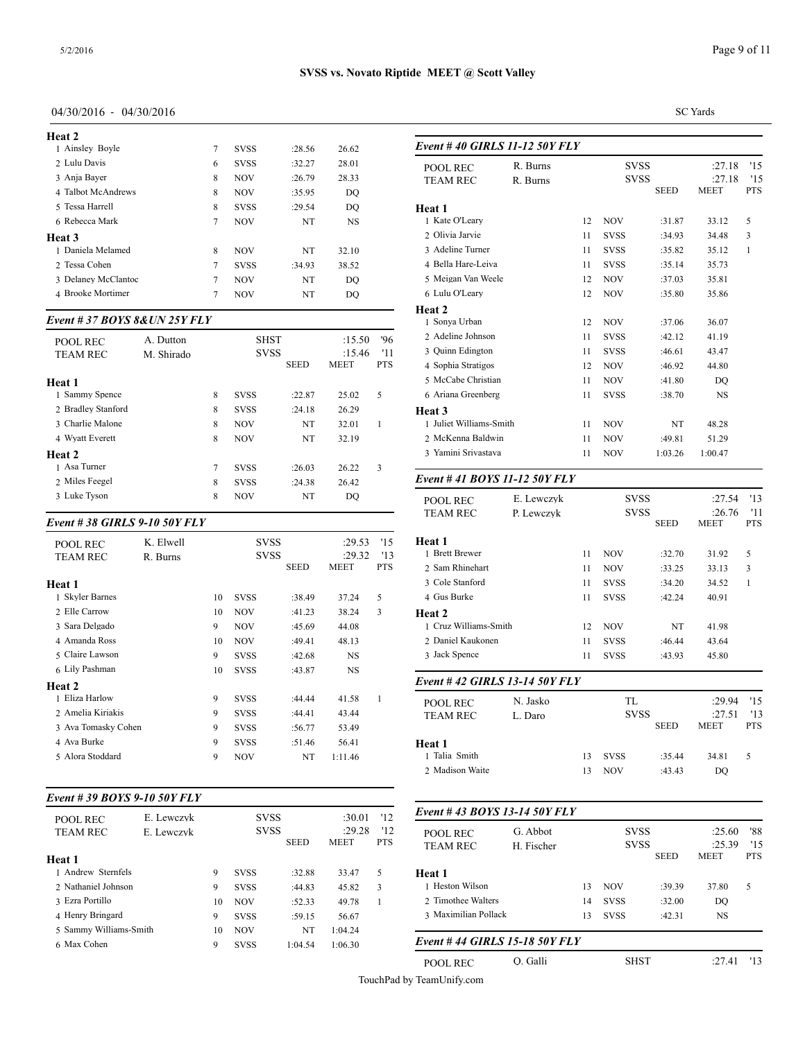| Heat 2              |   |             |        |           |                 |
|---------------------|---|-------------|--------|-----------|-----------------|
| 1 Ainsley Boyle     | 7 | <b>SVSS</b> | :28.56 | 26.62     | Event #40 GII   |
| 2 Lulu Davis        | 6 | <b>SVSS</b> | :32.27 | 28.01     | <b>POOL REC</b> |
| 3 Anja Bayer        | 8 | <b>NOV</b>  | :26.79 | 28.33     | <b>TEAM REC</b> |
| 4 Talbot McAndrews  | 8 | <b>NOV</b>  | :35.95 | DO        |                 |
| 5 Tessa Harrell     | 8 | <b>SVSS</b> | :29.54 | DO        | <b>Heat 1</b>   |
| 6 Rebecca Mark      | 7 | <b>NOV</b>  | NT     | <b>NS</b> | 1 Kate O'Leary  |
| Heat 3              |   |             |        |           | 2 Olivia Jarvie |
| 1 Daniela Melamed   | 8 | <b>NOV</b>  | NT     | 32.10     | 3 Adeline Turne |
| 2 Tessa Cohen       | 7 | <b>SVSS</b> | :34.93 | 38.52     | 4 Bella Hare-Le |
| 3 Delaney McClantoc | 7 | <b>NOV</b>  | NT     | DO        | 5 Meigan Van W  |
| 4 Brooke Mortimer   |   | <b>NOV</b>  | NT     | DO        | 6 Lulu O'Leary  |
|                     |   |             |        |           |                 |

#### *Event # 37 BOYS 8&UN 25Y FLY*

| <b>POOL REC</b>    | A. Dutton  |   | <b>SHST</b> |             | :15.50      | '96        | 2 Adeline Johnson  |
|--------------------|------------|---|-------------|-------------|-------------|------------|--------------------|
| <b>TEAM REC</b>    | M. Shirado |   | <b>SVSS</b> |             | :15.46      | '11        | 3 Ouinn Edington   |
|                    |            |   |             | <b>SEED</b> | <b>MEET</b> | <b>PTS</b> | 4 Sophia Stratigos |
| Heat 1             |            |   |             |             |             |            | 5 McCabe Christia  |
| 1 Sammy Spence     |            | 8 | <b>SVSS</b> | :22.87      | 25.02       | 5          | 6 Ariana Greenber  |
| 2 Bradley Stanford |            | 8 | <b>SVSS</b> | :24.18      | 26.29       |            | Heat 3             |
| 3 Charlie Malone   |            | 8 | <b>NOV</b>  | NT          | 32.01       |            | 1 Juliet Williams- |
| 4 Wyatt Everett    |            | 8 | <b>NOV</b>  | NT          | 32.19       |            | 2 McKenna Baldy    |
| Heat 2             |            |   |             |             |             |            | 3 Yamini Srivasta  |
| 1 Asa Turner       |            | 7 | <b>SVSS</b> | :26.03      | 26.22       | 3          |                    |
| 2 Miles Feegel     |            | 8 | <b>SVSS</b> | :24.38      | 26.42       |            | Event #41 BOY      |
| 3 Luke Tyson       |            | 8 | <b>NOV</b>  | NT          | DQ          |            | POOL REC           |

# *Event # 38 GIRLS 9-10 50Y FLY*

| <b>POOL REC</b><br><b>TEAM REC</b> | K. Elwell<br>R. Burns |    | <b>SVSS</b><br><b>SVSS</b> | <b>SEED</b> | :29.53<br>:29.32<br>MEET | '15<br>'13<br><b>PTS</b> | Heat 1<br>1 Brett Brewer<br>2 Sam Rhinehart |
|------------------------------------|-----------------------|----|----------------------------|-------------|--------------------------|--------------------------|---------------------------------------------|
| Heat 1                             |                       |    |                            |             |                          |                          | 3 Cole Stanford                             |
| 1 Skyler Barnes                    |                       | 10 | <b>SVSS</b>                | :38.49      | 37.24                    | 5                        | 4 Gus Burke                                 |
| 2 Elle Carrow                      |                       | 10 | <b>NOV</b>                 | :41.23      | 38.24                    | 3                        | <b>Heat 2</b>                               |
| 3 Sara Delgado                     |                       | 9  | <b>NOV</b>                 | :45.69      | 44.08                    |                          | 1 Cruz Williams-S                           |
| 4 Amanda Ross                      |                       | 10 | <b>NOV</b>                 | :49.41      | 48.13                    |                          | 2 Daniel Kaukone                            |
| 5 Claire Lawson                    |                       | 9  | <b>SVSS</b>                | :42.68      | <b>NS</b>                |                          | 3 Jack Spence                               |
| 6 Lily Pashman                     |                       | 10 | <b>SVSS</b>                | :43.87      | <b>NS</b>                |                          |                                             |
| Heat 2                             |                       |    |                            |             |                          |                          | Event #42 GIRI                              |
| 1 Eliza Harlow                     |                       | 9  | <b>SVSS</b>                | :44.44      | 41.58                    | 1                        | <b>POOL REC</b>                             |
| 2 Amelia Kiriakis                  |                       | 9  | <b>SVSS</b>                | :44.41      | 43.44                    |                          | <b>TEAM REC</b>                             |
| 3 Ava Tomasky Cohen                |                       | 9  | <b>SVSS</b>                | :56.77      | 53.49                    |                          |                                             |
| 4 Ava Burke                        |                       | 9  | <b>SVSS</b>                | :51.46      | 56.41                    |                          | Heat 1                                      |
| 5 Alora Stoddard                   |                       | 9  | <b>NOV</b>                 | NT          | 1:11.46                  |                          | 1 Talia Smith                               |
|                                    |                       |    |                            |             |                          |                          | $A = M - 11 -  W - 16$                      |

#### *Event # 39 BOYS 9-10 50Y FLY*

| E. Lewczyk<br><b>POOL REC</b> |            |                            | <b>SVSS</b> |         | :30.01                                    | '12 | Event #43 BOY               |
|-------------------------------|------------|----------------------------|-------------|---------|-------------------------------------------|-----|-----------------------------|
| <b>TEAM REC</b>               | E. Lewczyk | <b>SVSS</b><br><b>SEED</b> |             |         | 12<br>:29.28<br><b>MEET</b><br><b>PTS</b> |     | POOL REC<br><b>TEAM REC</b> |
| Heat 1                        |            |                            |             |         |                                           |     |                             |
| 1 Andrew Sternfels            |            | 9                          | <b>SVSS</b> | :32.88  | 33.47                                     | 5   | Heat 1                      |
| 2 Nathaniel Johnson           |            | 9                          | <b>SVSS</b> | :44.83  | 45.82                                     | 3   | 1 Heston Wilson             |
| 3 Ezra Portillo               |            | 10                         | <b>NOV</b>  | :52.33  | 49.78                                     |     | 2 Timothee Walter           |
| 4 Henry Bringard              |            | 9                          | <b>SVSS</b> | :59.15  | 56.67                                     |     | 3 Maximilian Poll           |
| 5 Sammy Williams-Smith        |            | 10                         | <b>NOV</b>  | NT      | 1:04.24                                   |     |                             |
| 6 Max Cohen                   |            | 9                          | <b>SVSS</b> | 1:04.54 | 1:06.30                                   |     | Event #44 GIRI              |
|                               |            |                            |             |         |                                           |     |                             |

SC Yards

Page 9 of 11

| POOL REC                      | R. Burns   |    | <b>SVSS</b> |             | :27.18                | '15               |
|-------------------------------|------------|----|-------------|-------------|-----------------------|-------------------|
| TEAM REC                      | R. Burns   |    | <b>SVSS</b> | <b>SEED</b> | :27.18<br><b>MEET</b> | '15<br><b>PTS</b> |
|                               |            |    |             |             |                       |                   |
| Heat 1<br>1 Kate O'Leary      |            | 12 | NOV         | :31.87      | 33.12                 | 5                 |
| 2 Olivia Jarvie               |            | 11 | <b>SVSS</b> | :34.93      | 34.48                 | 3                 |
| 3 Adeline Turner              |            | 11 | <b>SVSS</b> | :35.82      | 35.12                 | $\mathbf{1}$      |
| 4 Bella Hare-Leiva            |            | 11 | <b>SVSS</b> | :35.14      | 35.73                 |                   |
| 5 Meigan Van Weele            |            | 12 | <b>NOV</b>  | :37.03      | 35.81                 |                   |
| 6 Lulu O'Leary                |            | 12 | NOV         | :35.80      | 35.86                 |                   |
| Heat 2                        |            |    |             |             |                       |                   |
| 1 Sonya Urban                 |            | 12 | <b>NOV</b>  | :37.06      | 36.07                 |                   |
| 2 Adeline Johnson             |            | 11 | <b>SVSS</b> | :42.12      | 41.19                 |                   |
| 3 Quinn Edington              |            | 11 | <b>SVSS</b> | :46.61      | 43.47                 |                   |
| 4 Sophia Stratigos            |            | 12 | NOV         | :46.92      | 44.80                 |                   |
| 5 McCabe Christian            |            | 11 | <b>NOV</b>  | :41.80      | DQ                    |                   |
| 6 Ariana Greenberg            |            | 11 | <b>SVSS</b> | :38.70      | $_{\rm NS}$           |                   |
| Heat 3                        |            |    |             |             |                       |                   |
| 1 Juliet Williams-Smith       |            | 11 | <b>NOV</b>  | NT          | 48.28                 |                   |
| 2 McKenna Baldwin             |            | 11 | NOV         | :49.81      | 51.29                 |                   |
| 3 Yamini Srivastava           |            | 11 | <b>NOV</b>  | 1:03.26     | 1:00.47               |                   |
| Event # 41 BOYS 11-12 50Y FLY |            |    |             |             |                       |                   |
| POOL REC                      | E. Lewczyk |    | <b>SVSS</b> |             | :27.54                | '13               |
| <b>TEAM REC</b>               | P. Lewczyk |    | <b>SVSS</b> |             | :26.76                | '11               |
|                               |            |    |             | <b>SEED</b> | <b>MEET</b>           | <b>PTS</b>        |
| Heat 1                        |            |    |             |             |                       |                   |
| 1 Brett Brewer                |            | 11 | NOV         | :32.70      | 31.92                 | 5                 |
| 2 Sam Rhinehart               |            | 11 | <b>NOV</b>  | :33.25      | 33.13                 | 3                 |
| 3 Cole Stanford               |            | 11 | <b>SVSS</b> | :34.20      | 34.52                 | $\mathbf{1}$      |
| 4 Gus Burke                   |            | 11 | <b>SVSS</b> | :42.24      | 40.91                 |                   |
| Heat 2                        |            |    |             |             |                       |                   |
| 1 Cruz Williams-Smith         |            | 12 | <b>NOV</b>  | NT          | 41.98                 |                   |
| 2 Daniel Kaukonen             |            | 11 | <b>SVSS</b> | :46.44      | 43.64                 |                   |
| 3 Jack Spence                 |            | 11 | <b>SVSS</b> | :43.93      | 45.80                 |                   |
| Event #42 GIRLS 13-14 50Y FLY |            |    |             |             |                       |                   |
| POOL REC                      | N. Jasko   |    | TL          |             | :29.94                | '15               |
| <b>TEAM REC</b>               | L. Daro    |    | <b>SVSS</b> |             | :27.51                | '13               |
|                               |            |    |             | <b>SEED</b> | MEET                  | <b>PTS</b>        |
| Heat 1                        |            |    |             |             |                       |                   |
| 1 Talia Smith                 |            | 13 | <b>SVSS</b> | :35.44      | 34.81                 | 5                 |
|                               |            | 13 | <b>NOV</b>  | :43.43      | DQ                    |                   |
| 2 Madison Waite               |            |    |             |             |                       |                   |

| POOL REC             | G. Abbot   |    | <b>SVSS</b> |             | '88<br>:25.60 |            |  |
|----------------------|------------|----|-------------|-------------|---------------|------------|--|
| <b>TEAM REC</b>      | H. Fischer |    | <b>SVSS</b> |             | :25.39        | 15         |  |
|                      |            |    |             | <b>SEED</b> | <b>MEET</b>   | <b>PTS</b> |  |
| Heat 1               |            |    |             |             |               |            |  |
| 1 Heston Wilson      |            | 13 | <b>NOV</b>  | :39.39      | 37.80         | 5          |  |
| 2 Timothee Walters   |            | 14 | <b>SVSS</b> | :32.00      | DQ            |            |  |
| 3 Maximilian Pollack |            | 13 | <b>SVSS</b> | :42.31      | NS            |            |  |
|                      |            |    |             |             |               |            |  |

# *Event # 44 GIRLS 15-18 50Y FLY*

POOL REC O. Galli SHST :27.41 '13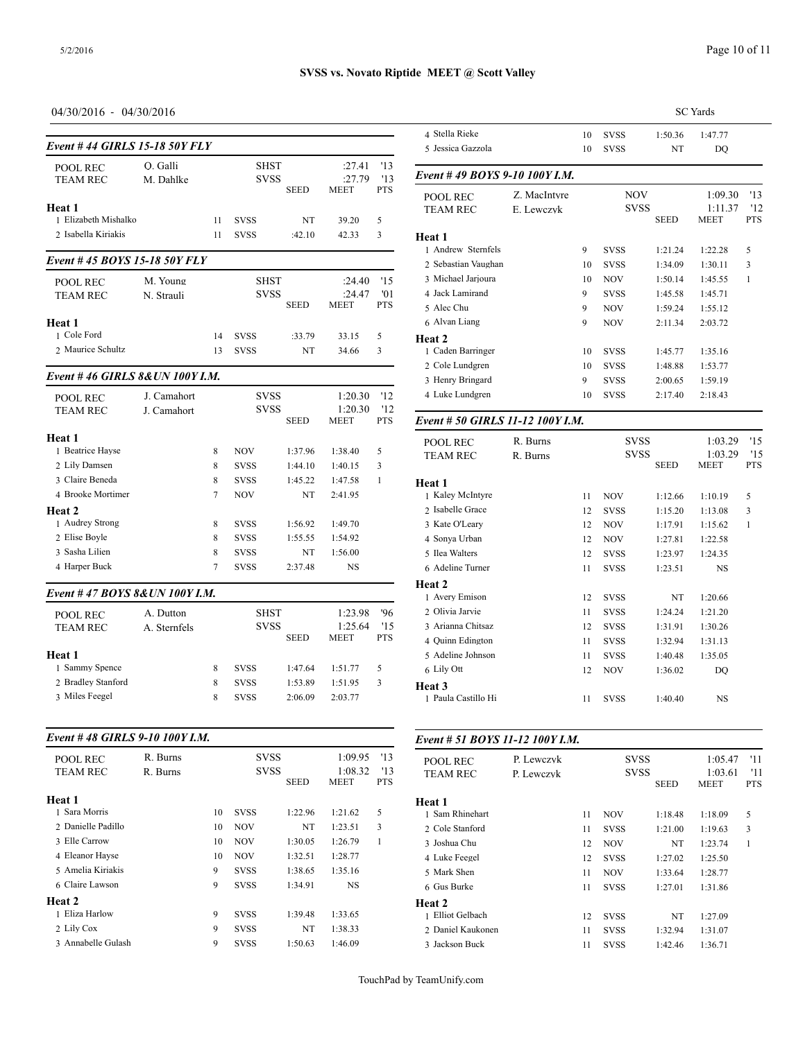### 04/30/2016 - 04/30/2016

| Event # 44 GIRLS 15-18 50Y FLY       |                       |        |                            |                    |                    |            | 5 Jessica Gazzola                   |
|--------------------------------------|-----------------------|--------|----------------------------|--------------------|--------------------|------------|-------------------------------------|
| POOL REC<br><b>TEAM REC</b>          | O. Galli<br>M. Dahlke |        | <b>SHST</b><br>svss        |                    | :27.41<br>:27.79   | '13<br>'13 | Event #49 BOY                       |
|                                      |                       |        |                            | <b>SEED</b>        | <b>MEET</b>        | PTS        | POOL REC                            |
| Heat 1<br>1 Elizabeth Mishalko       |                       | 11     | SVSS                       | NT                 | 39.20              | 5          | <b>TEAM REC</b>                     |
| 2 Isabella Kiriakis                  |                       | 11     | <b>SVSS</b>                | :42.10             | 42.33              | 3          |                                     |
|                                      |                       |        |                            |                    |                    |            | Heat 1<br>1 Andrew Sternfe          |
| Event #45 BOYS 15-18 50Y FLY         |                       |        |                            |                    |                    |            | 2 Sebastian Vaugh                   |
| POOL REC                             | M. Young              |        | SHST                       |                    | :24.40             | '15        | 3 Michael Jarjoura                  |
| <b>TEAM REC</b>                      | N. Strauli            |        | SVSS                       |                    | :24.47             | '01        | 4 Jack Lamirand                     |
|                                      |                       |        |                            | <b>SEED</b>        | MEET               | <b>PTS</b> | 5 Alec Chu                          |
| Heat 1                               |                       |        |                            |                    |                    |            | 6 Alvan Liang                       |
| 1 Cole Ford                          |                       | 14     | <b>SVSS</b>                | :33.79             | 33.15              | 5          | Heat 2                              |
| 2 Maurice Schultz                    |                       | 13     | <b>SVSS</b>                | NT                 | 34.66              | 3          | 1 Caden Barringer                   |
| Event #46 GIRLS 8& UN 100Y I.M.      |                       |        |                            |                    |                    |            | 2 Cole Lundgren<br>3 Henry Bringard |
| POOL REC                             | J. Camahort           |        | <b>SVSS</b>                |                    | 1:20.30            | '12        | 4 Luke Lundgren                     |
| TEAM REC                             | J. Camahort           |        | <b>SVSS</b>                |                    | 1:20.30            | '12        |                                     |
|                                      |                       |        |                            | <b>SEED</b>        | <b>MEET</b>        | <b>PTS</b> | Event # 50 GIRI                     |
| Heat 1                               |                       |        |                            |                    |                    |            | POOL REC                            |
| 1 Beatrice Hayse                     |                       | 8      | NOV                        | 1:37.96            | 1:38.40            | 5          | TEAM REC                            |
| 2 Lily Damsen                        |                       | 8      | <b>SVSS</b>                | 1:44.10            | 1:40.15            | 3          |                                     |
| 3 Claire Beneda                      |                       | 8      | <b>SVSS</b>                | 1:45.22            | 1:47.58            | 1          | Heat 1                              |
| 4 Brooke Mortimer                    |                       | 7      | NOV                        | NT                 | 2:41.95            |            | 1 Kaley McIntyre                    |
| Heat 2                               |                       |        |                            |                    |                    |            | 2 Isabelle Grace                    |
| 1 Audrey Strong<br>2 Elise Boyle     |                       | 8<br>8 | <b>SVSS</b><br><b>SVSS</b> | 1:56.92<br>1:55.55 | 1:49.70<br>1:54.92 |            | 3 Kate O'Leary                      |
| 3 Sasha Lilien                       |                       | 8      | <b>SVSS</b>                | NT                 | 1:56.00            |            | 4 Sonya Urban<br>5 Ilea Walters     |
| 4 Harper Buck                        |                       | 7      | SVSS                       | 2:37.48            | NS                 |            | 6 Adeline Turner                    |
|                                      |                       |        |                            |                    |                    |            | Heat 2                              |
| Event #47 BOYS 8&UN 100Y I.M.        |                       |        |                            |                    |                    |            | 1 Avery Emison                      |
| POOL REC                             | A. Dutton             |        | <b>SHST</b>                |                    | 1:23.98            | '96        | 2 Olivia Jarvie                     |
| TEAM REC                             | A. Sternfels          |        | <b>SVSS</b>                |                    | 1:25.64            | '15        | 3 Arianna Chitsaz                   |
|                                      |                       |        |                            | <b>SEED</b>        | MEET               | PTS        | 4 Ouinn Edington                    |
| Heat 1                               |                       |        |                            |                    |                    |            | 5 Adeline Johnsor                   |
| 1 Sammy Spence                       |                       | 8      | <b>SVSS</b>                | 1:47.64            | 1:51.77            | 5          | 6 Lily Ott                          |
| 2 Bradley Stanford<br>3 Miles Feegel |                       | 8<br>8 | <b>SVSS</b>                | 1:53.89<br>2:06.09 | 1:51.95            | 3          | Heat 3                              |
|                                      |                       |        | <b>SVSS</b>                |                    | 2:03.77            |            | 1 Paula Castillo H                  |
| Event #48 GIRLS 9-10 100Y I.M.       |                       |        |                            |                    |                    |            | Event # 51 BOY                      |
| POOL REC                             | R. Burns              |        | svss                       |                    | 1:09.95            | '13        |                                     |
| TEAM REC                             | R. Burns              |        | <b>SVSS</b>                |                    | 1:08.32            | '13        | POOL REC<br>TEAM REC                |
|                                      |                       |        |                            | <b>SEED</b>        | MEET               | PTS        |                                     |
| Heat 1                               |                       |        |                            |                    |                    |            | Heat 1                              |
| 1 Sara Morris                        |                       | 10     | SVSS                       | 1:22.96            | 1:21.62            | 5          | 1 Sam Rhinehart                     |
| 2 Danielle Padillo                   |                       | 10     | NOV                        | NT                 | 1:23.51            | 3          | 2 Cole Stanford                     |
| 3 Elle Carrow                        |                       | 10     | NOV                        | 1:30.05            | 1:26.79            | 1          | 3 Joshua Chu                        |
| 4 Eleanor Hayse                      |                       | 10     | NOV                        | 1:32.51            | 1:28.77            |            | 4 Luke Feegel                       |
| 5 Amelia Kiriakis                    |                       | 9      | SVSS                       | 1:38.65            | 1:35.16            |            | 5 Mark Shen                         |
| 6 Claire Lawson                      |                       | 9      | SVSS                       | 1:34.91            | NS                 |            | 6 Gus Burke                         |
| Heat 2<br>1 Eliza Harlow             |                       | 9      | SVSS                       | 1:39.48            | 1:33.65            |            | Heat 2<br>1 Elliot Gelbach          |
| 2 Lily Cox                           |                       | 9      | SVSS                       | NT                 | 1:38.33            |            | 2 Daniel Kaukone                    |
| 3 Annabelle Gulash                   |                       | 9      | SVSS                       | 1:50.63            | 1:46.09            |            | 3 Jackson Buck                      |

|                                  |              |    |             |             | <b>SC</b> Yards |                   |
|----------------------------------|--------------|----|-------------|-------------|-----------------|-------------------|
| 4 Stella Rieke                   |              | 10 | <b>SVSS</b> | 1:50.36     | 1:47.77         |                   |
| 5 Jessica Gazzola                |              | 10 | <b>SVSS</b> | NT          | DQ              |                   |
| Event #49 BOYS 9-10 100Y I.M.    |              |    |             |             |                 |                   |
| POOL REC                         | Z. MacIntyre |    | <b>NOV</b>  |             | 1:09.30         | '13               |
| <b>TEAM REC</b>                  | E. Lewczyk   |    | <b>SVSS</b> | <b>SEED</b> | 1:11.37<br>MEET | '12<br><b>PTS</b> |
| Heat 1                           |              |    |             |             |                 |                   |
| 1 Andrew Sternfels               |              | 9  | <b>SVSS</b> | 1:21.24     | 1:22.28         | 5                 |
| 2 Sebastian Vaughan              |              | 10 | <b>SVSS</b> | 1:34.09     | 1:30.11         | 3                 |
| 3 Michael Jarjoura               |              | 10 | <b>NOV</b>  | 1:50.14     | 1:45.55         | $\mathbf{1}$      |
| 4 Jack Lamirand                  |              | 9  | <b>SVSS</b> | 1:45.58     | 1:45.71         |                   |
| 5 Alec Chu                       |              | 9  | NOV         | 1:59.24     | 1:55.12         |                   |
| 6 Alvan Liang                    |              | 9  | <b>NOV</b>  | 2:11.34     | 2:03.72         |                   |
| Heat 2                           |              |    |             |             |                 |                   |
| 1 Caden Barringer                |              | 10 | <b>SVSS</b> | 1:45.77     | 1:35.16         |                   |
| 2 Cole Lundgren                  |              | 10 | <b>SVSS</b> | 1:48.88     | 1:53.77         |                   |
| 3 Henry Bringard                 |              | 9  | <b>SVSS</b> | 2:00.65     | 1:59.19         |                   |
| 4 Luke Lundgren                  |              | 10 | <b>SVSS</b> | 2:17.40     | 2:18.43         |                   |
| Event # 50 GIRLS 11-12 100Y I.M. |              |    |             |             |                 |                   |
| <b>POOL REC</b>                  | R. Burns     |    | <b>SVSS</b> |             | 1:03.29         | '15               |
| <b>TEAM REC</b>                  | R. Burns     |    | <b>SVSS</b> |             | 1:03.29         | '15               |
|                                  |              |    |             | <b>SEED</b> | <b>MEET</b>     | <b>PTS</b>        |
| Heat 1                           |              |    |             |             |                 |                   |
| 1 Kaley McIntyre                 |              | 11 | <b>NOV</b>  | 1:12.66     | 1:10.19         | 5                 |
| 2 Isabelle Grace                 |              | 12 | <b>SVSS</b> | 1:15.20     | 1:13.08         | 3                 |
| 3 Kate O'Leary                   |              | 12 | <b>NOV</b>  | 1:17.91     | 1:15.62         | 1                 |
| 4 Sonva Urban                    |              | 12 | <b>NOV</b>  | 1:27.81     | 1:22.58         |                   |
| 5 Ilea Walters                   |              | 12 | <b>SVSS</b> | 1:23.97     | 1:24.35         |                   |
| 6 Adeline Turner                 |              | 11 | <b>SVSS</b> | 1:23.51     | NS              |                   |
| Heat 2                           |              |    |             |             |                 |                   |
| 1 Avery Emison                   |              | 12 | <b>SVSS</b> | NT          | 1:20.66         |                   |
| 2 Olivia Jarvie                  |              | 11 | <b>SVSS</b> | 1:24.24     | 1:21.20         |                   |
| 3 Arianna Chitsaz                |              | 12 | <b>SVSS</b> | 1:31.91     | 1:30.26         |                   |
| 4 Ouinn Edington                 |              | 11 | <b>SVSS</b> | 1:32.94     | 1:31.13         |                   |
| 5 Adeline Johnson                |              | 11 | <b>SVSS</b> | 1:40.48     | 1:35.05         |                   |
| 6 Lily Ott                       |              | 12 | NOV         | 1:36.02     | DO              |                   |

#### *Event # 51 BOYS 11-12 100Y I.M.*

| <b>POOL REC</b>   | P. Lewczyk |    | <b>SVSS</b> |             | 1:05.47     | '11        |
|-------------------|------------|----|-------------|-------------|-------------|------------|
| <b>TEAM REC</b>   | P. Lewczyk |    | <b>SVSS</b> |             | 1:03.61     | '11        |
|                   |            |    |             | <b>SEED</b> | <b>MEET</b> | <b>PTS</b> |
| Heat 1            |            |    |             |             |             |            |
| 1 Sam Rhinehart   |            | 11 | <b>NOV</b>  | 1:18.48     | 1:18.09     | 5          |
| 2 Cole Stanford   |            | 11 | <b>SVSS</b> | 1:21.00     | 1:19.63     | 3          |
| 3 Joshua Chu      |            | 12 | <b>NOV</b>  | NT          | 1:23.74     | 1          |
| 4 Luke Feegel     |            | 12 | <b>SVSS</b> | 1:27.02     | 1:25.50     |            |
| 5 Mark Shen       |            | 11 | <b>NOV</b>  | 1:33.64     | 1:28.77     |            |
| 6 Gus Burke       |            | 11 | <b>SVSS</b> | 1:27.01     | 1:31.86     |            |
| Heat 2            |            |    |             |             |             |            |
| 1 Elliot Gelbach  |            | 12 | <b>SVSS</b> | NT          | 1:27.09     |            |
| 2 Daniel Kaukonen |            | 11 | <b>SVSS</b> | 1:32.94     | 1:31.07     |            |
| 3 Jackson Buck    |            | 11 | <b>SVSS</b> | 1:42.46     | 1:36.71     |            |

1 Paula Castillo Hi 11 SVSS 1:40.40 NS